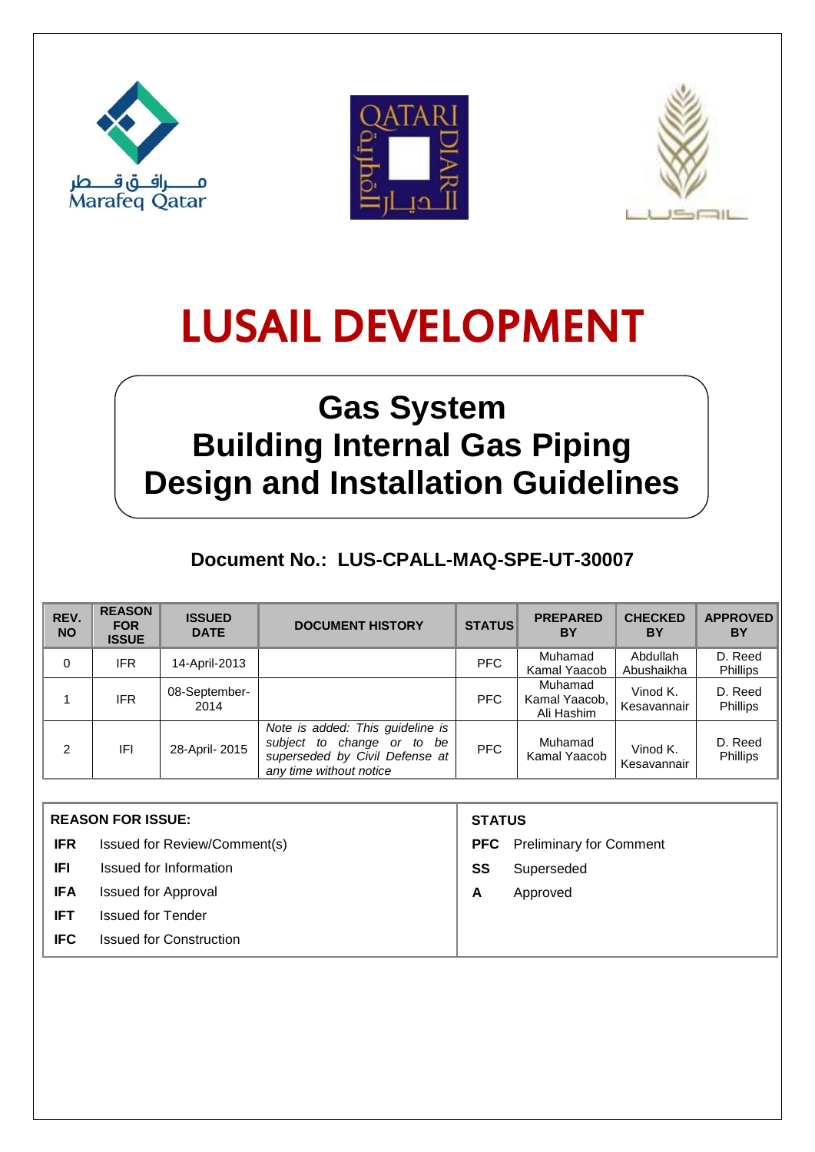





## **Gas System Building Internal Gas Piping Design and Installation Guidelines**

### **Document No.: LUS-CPALL-MAQ-SPE-UT-30007**

| REV.<br><b>NO</b> | <b>REASON</b><br><b>FOR</b><br><b>ISSUE</b> | <b>ISSUED</b><br><b>DATE</b> | <b>DOCUMENT HISTORY</b>                                                                                                     | <b>STATUS</b> | <b>PREPARED</b><br>BY                  | <b>CHECKED</b><br>ΒY    | <b>APPROVED</b><br>ΒY      |
|-------------------|---------------------------------------------|------------------------------|-----------------------------------------------------------------------------------------------------------------------------|---------------|----------------------------------------|-------------------------|----------------------------|
| 0                 | <b>IFR</b>                                  | 14-April-2013                |                                                                                                                             | PFC           | Muhamad<br>Kamal Yaacob                | Abdullah<br>Abushaikha  | D. Reed<br>Phillips        |
|                   | <b>IFR</b>                                  | 08-September-<br>2014        |                                                                                                                             | PFC           | Muhamad<br>Kamal Yaacob,<br>Ali Hashim | Vinod K.<br>Kesavannair | D. Reed<br>Phillips        |
| 2                 | IFI                                         | 28-April-2015                | Note is added: This guideline is<br>subject to change or to be<br>superseded by Civil Defense at<br>any time without notice | PFC           | Muhamad<br>Kamal Yaacob                | Vinod K.<br>Kesavannair | D. Reed<br><b>Phillips</b> |

| <b>REASON FOR ISSUE:</b>                     |                              | <b>STATUS</b> |                                    |  |
|----------------------------------------------|------------------------------|---------------|------------------------------------|--|
| <b>IFR</b>                                   | Issued for Review/Comment(s) |               | <b>PFC</b> Preliminary for Comment |  |
| IFI.                                         | Issued for Information       | SS            | Superseded                         |  |
| <b>IFA</b>                                   | <b>Issued for Approval</b>   | A             | Approved                           |  |
| <b>IFT</b>                                   | <b>Issued for Tender</b>     |               |                                    |  |
| <b>IFC</b><br><b>Issued for Construction</b> |                              |               |                                    |  |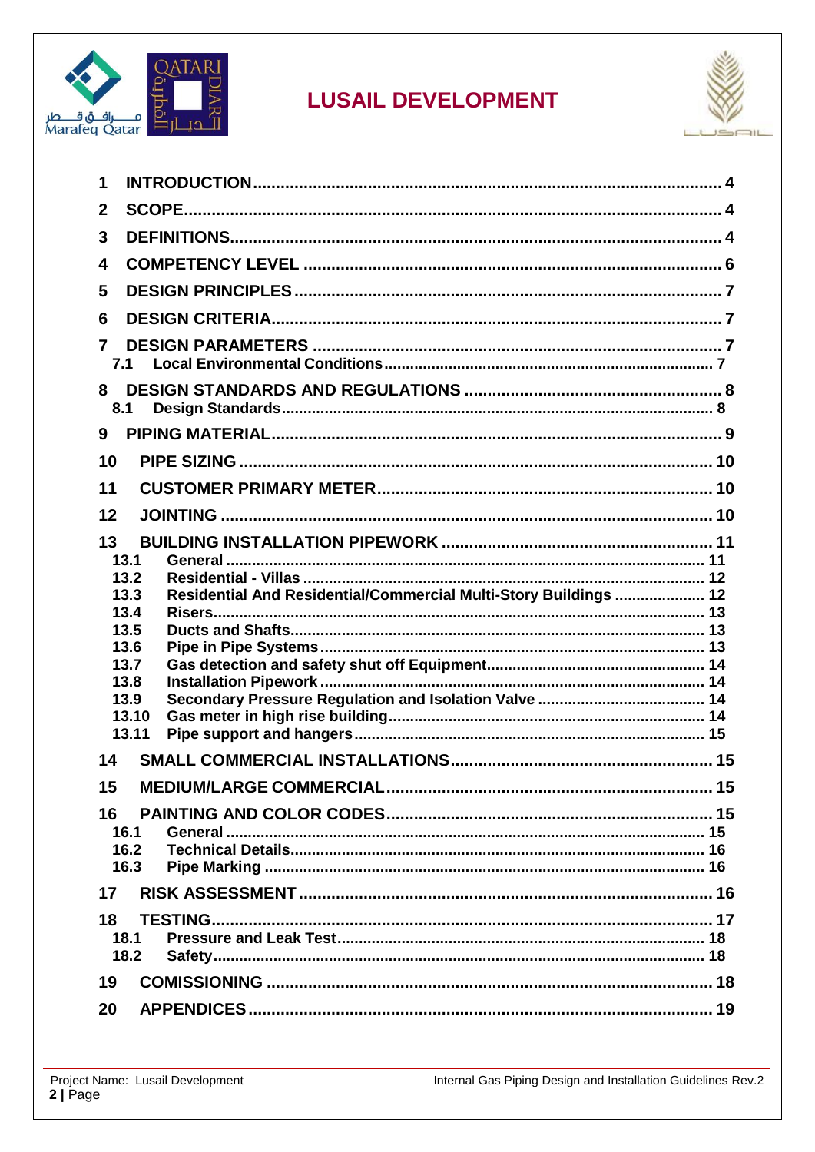



| 1                                                                        |  |  |  |  |  |
|--------------------------------------------------------------------------|--|--|--|--|--|
| $\mathbf{2}$                                                             |  |  |  |  |  |
| 3                                                                        |  |  |  |  |  |
| 4                                                                        |  |  |  |  |  |
| 5                                                                        |  |  |  |  |  |
| 6                                                                        |  |  |  |  |  |
| 7                                                                        |  |  |  |  |  |
| 7.1                                                                      |  |  |  |  |  |
| 8<br>8.1                                                                 |  |  |  |  |  |
| 9                                                                        |  |  |  |  |  |
| 10                                                                       |  |  |  |  |  |
| 11                                                                       |  |  |  |  |  |
| 12                                                                       |  |  |  |  |  |
| 13                                                                       |  |  |  |  |  |
| 13.1                                                                     |  |  |  |  |  |
| 13.2                                                                     |  |  |  |  |  |
| Residential And Residential/Commercial Multi-Story Buildings  12<br>13.3 |  |  |  |  |  |
| 13.4<br>13.5                                                             |  |  |  |  |  |
| 13.6                                                                     |  |  |  |  |  |
| 13.7                                                                     |  |  |  |  |  |
| 13.8                                                                     |  |  |  |  |  |
| 13.9                                                                     |  |  |  |  |  |
| 13.10                                                                    |  |  |  |  |  |
| 13.11                                                                    |  |  |  |  |  |
| 14                                                                       |  |  |  |  |  |
| 15                                                                       |  |  |  |  |  |
| 16                                                                       |  |  |  |  |  |
| 16.1                                                                     |  |  |  |  |  |
| 16.2                                                                     |  |  |  |  |  |
| 16.3                                                                     |  |  |  |  |  |
| 17                                                                       |  |  |  |  |  |
| 18                                                                       |  |  |  |  |  |
| 18.1                                                                     |  |  |  |  |  |
| 18.2                                                                     |  |  |  |  |  |
| 19                                                                       |  |  |  |  |  |
| 20                                                                       |  |  |  |  |  |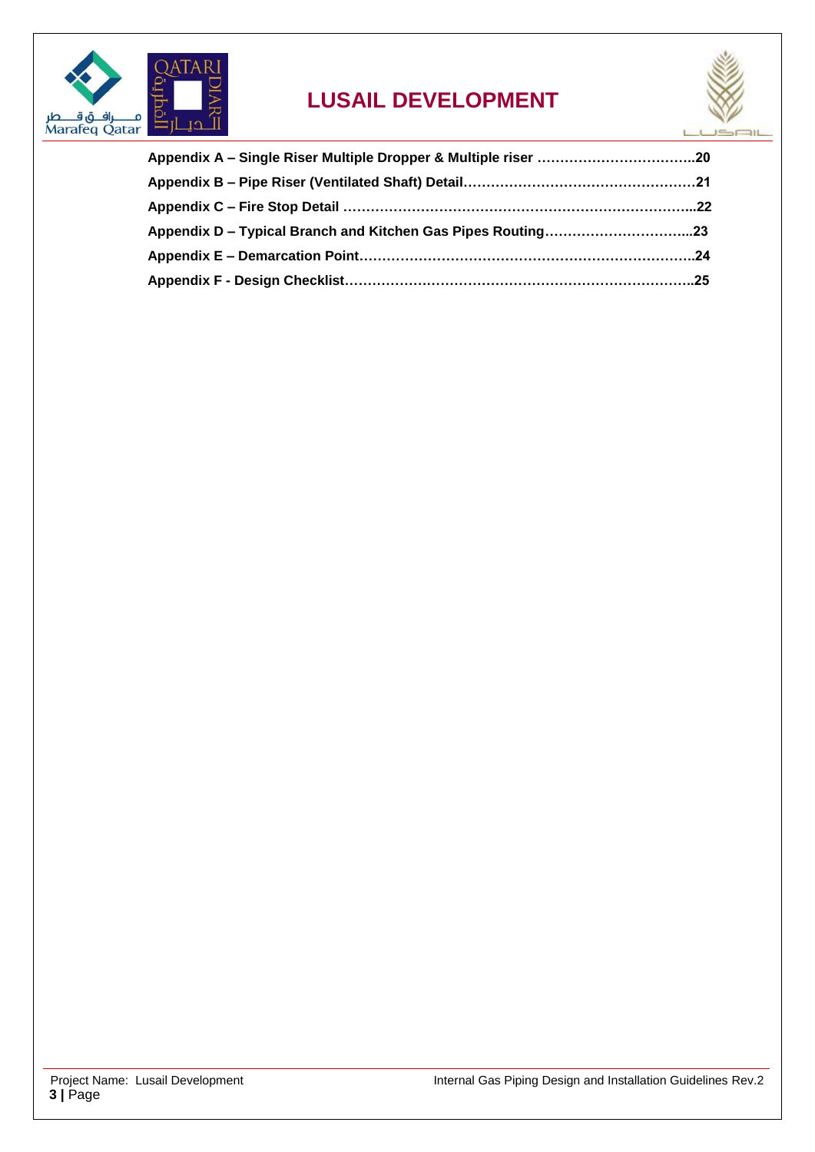

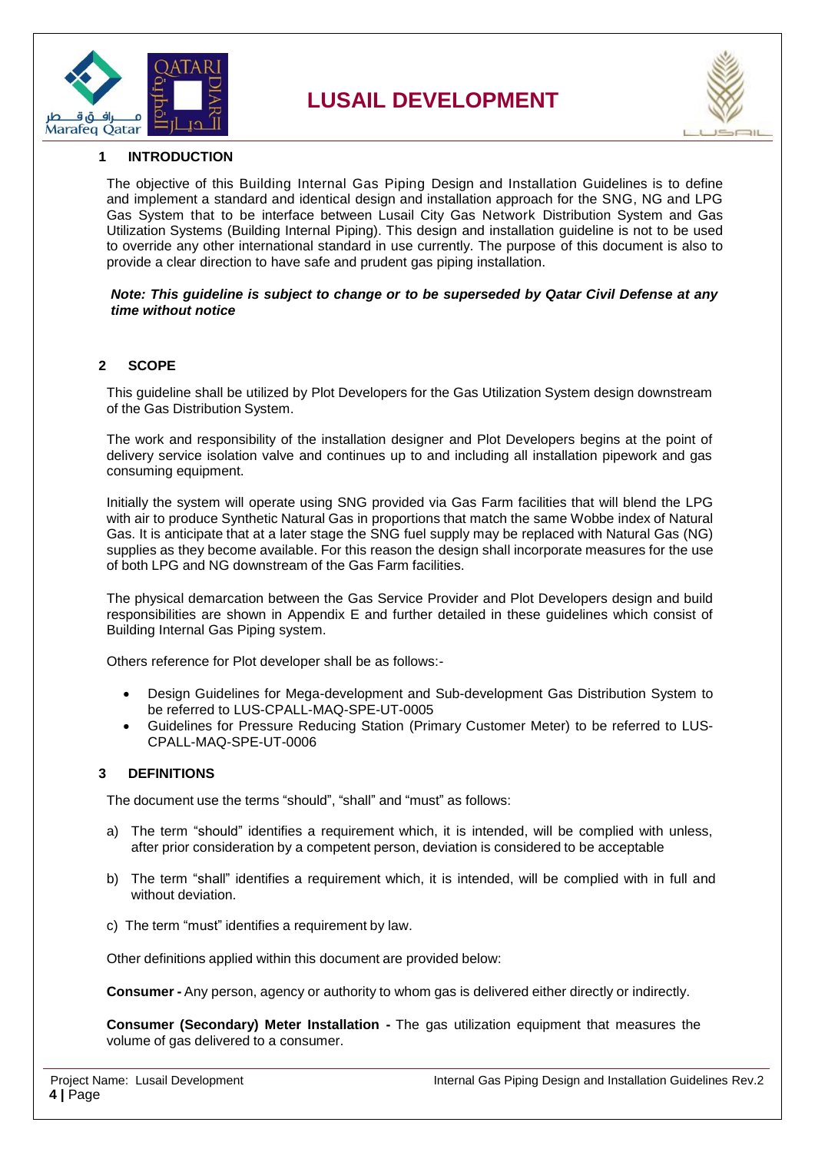



#### <span id="page-3-0"></span>**1 INTRODUCTION**

The objective of this Building Internal Gas Piping Design and Installation Guidelines is to define and implement a standard and identical design and installation approach for the SNG, NG and LPG Gas System that to be interface between Lusail City Gas Network Distribution System and Gas Utilization Systems (Building Internal Piping). This design and installation guideline is not to be used to override any other international standard in use currently. The purpose of this document is also to provide a clear direction to have safe and prudent gas piping installation.

#### *Note: This guideline is subject to change or to be superseded by Qatar Civil Defense at any time without notice*

#### <span id="page-3-1"></span>**2 SCOPE**

This guideline shall be utilized by Plot Developers for the Gas Utilization System design downstream of the Gas Distribution System.

The work and responsibility of the installation designer and Plot Developers begins at the point of delivery service isolation valve and continues up to and including all installation pipework and gas consuming equipment.

Initially the system will operate using SNG provided via Gas Farm facilities that will blend the LPG with air to produce Synthetic Natural Gas in proportions that match the same Wobbe index of Natural Gas. It is anticipate that at a later stage the SNG fuel supply may be replaced with Natural Gas (NG) supplies as they become available. For this reason the design shall incorporate measures for the use of both LPG and NG downstream of the Gas Farm facilities.

The physical demarcation between the Gas Service Provider and Plot Developers design and build responsibilities are shown in Appendix E and further detailed in these guidelines which consist of Building Internal Gas Piping system.

Others reference for Plot developer shall be as follows:-

- Design Guidelines for Mega-development and Sub-development Gas Distribution System to be referred to LUS-CPALL-MAQ-SPE-UT-0005
- Guidelines for Pressure Reducing Station (Primary Customer Meter) to be referred to LUS-CPALL-MAQ-SPE-UT-0006

#### <span id="page-3-2"></span>**3 DEFINITIONS**

The document use the terms "should", "shall" and "must" as follows:

- a) The term "should" identifies a requirement which, it is intended, will be complied with unless, after prior consideration by a competent person, deviation is considered to be acceptable
- b) The term "shall" identifies a requirement which, it is intended, will be complied with in full and without deviation.
- c) The term "must" identifies a requirement by law.

Other definitions applied within this document are provided below:

**Consumer -** Any person, agency or authority to whom gas is delivered either directly or indirectly.

**Consumer (Secondary) Meter Installation -** The gas utilization equipment that measures the volume of gas delivered to a consumer.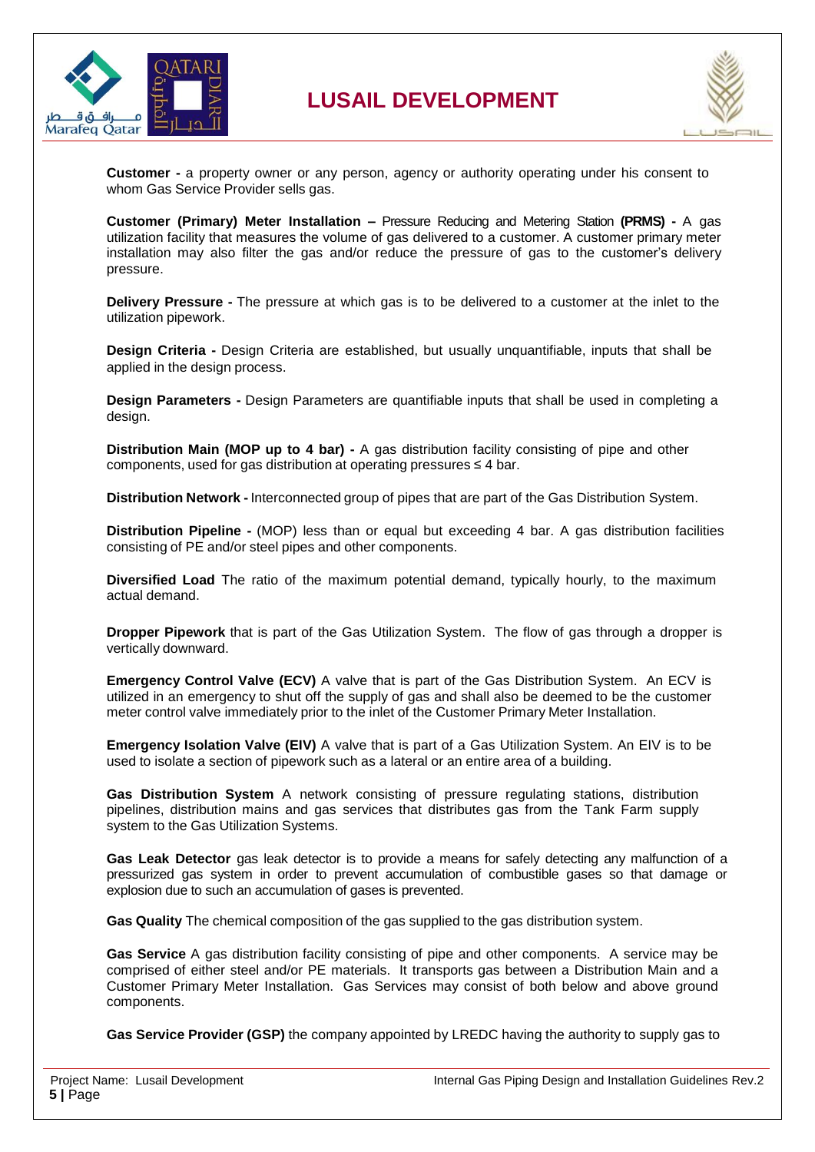



**Customer -** a property owner or any person, agency or authority operating under his consent to whom Gas Service Provider sells gas.

**Customer (Primary) Meter Installation –** Pressure Reducing and Metering Station **(PRMS) -** A gas utilization facility that measures the volume of gas delivered to a customer. A customer primary meter installation may also filter the gas and/or reduce the pressure of gas to the customer's delivery pressure.

**Delivery Pressure -** The pressure at which gas is to be delivered to a customer at the inlet to the utilization pipework.

**Design Criteria -** Design Criteria are established, but usually unquantifiable, inputs that shall be applied in the design process.

**Design Parameters -** Design Parameters are quantifiable inputs that shall be used in completing a design.

**Distribution Main (MOP up to 4 bar) -** A gas distribution facility consisting of pipe and other components, used for gas distribution at operating pressures ≤ 4 bar.

**Distribution Network -** Interconnected group of pipes that are part of the Gas Distribution System.

**Distribution Pipeline -** (MOP) less than or equal but exceeding 4 bar. A gas distribution facilities consisting of PE and/or steel pipes and other components.

**Diversified Load** The ratio of the maximum potential demand, typically hourly, to the maximum actual demand.

**Dropper Pipework** that is part of the Gas Utilization System. The flow of gas through a dropper is vertically downward.

**Emergency Control Valve (ECV)** A valve that is part of the Gas Distribution System. An ECV is utilized in an emergency to shut off the supply of gas and shall also be deemed to be the customer meter control valve immediately prior to the inlet of the Customer Primary Meter Installation.

**Emergency Isolation Valve (EIV)** A valve that is part of a Gas Utilization System. An EIV is to be used to isolate a section of pipework such as a lateral or an entire area of a building.

**Gas Distribution System** A network consisting of pressure regulating stations, distribution pipelines, distribution mains and gas services that distributes gas from the Tank Farm supply system to the Gas Utilization Systems.

**Gas Leak Detector** gas leak detector is to provide a means for safely detecting any malfunction of a pressurized gas system in order to prevent accumulation of combustible gases so that damage or explosion due to such an accumulation of gases is prevented.

**Gas Quality** The chemical composition of the gas supplied to the gas distribution system.

**Gas Service** A gas distribution facility consisting of pipe and other components. A service may be comprised of either steel and/or PE materials. It transports gas between a Distribution Main and a Customer Primary Meter Installation. Gas Services may consist of both below and above ground components.

**Gas Service Provider (GSP)** the company appointed by LREDC having the authority to supply gas to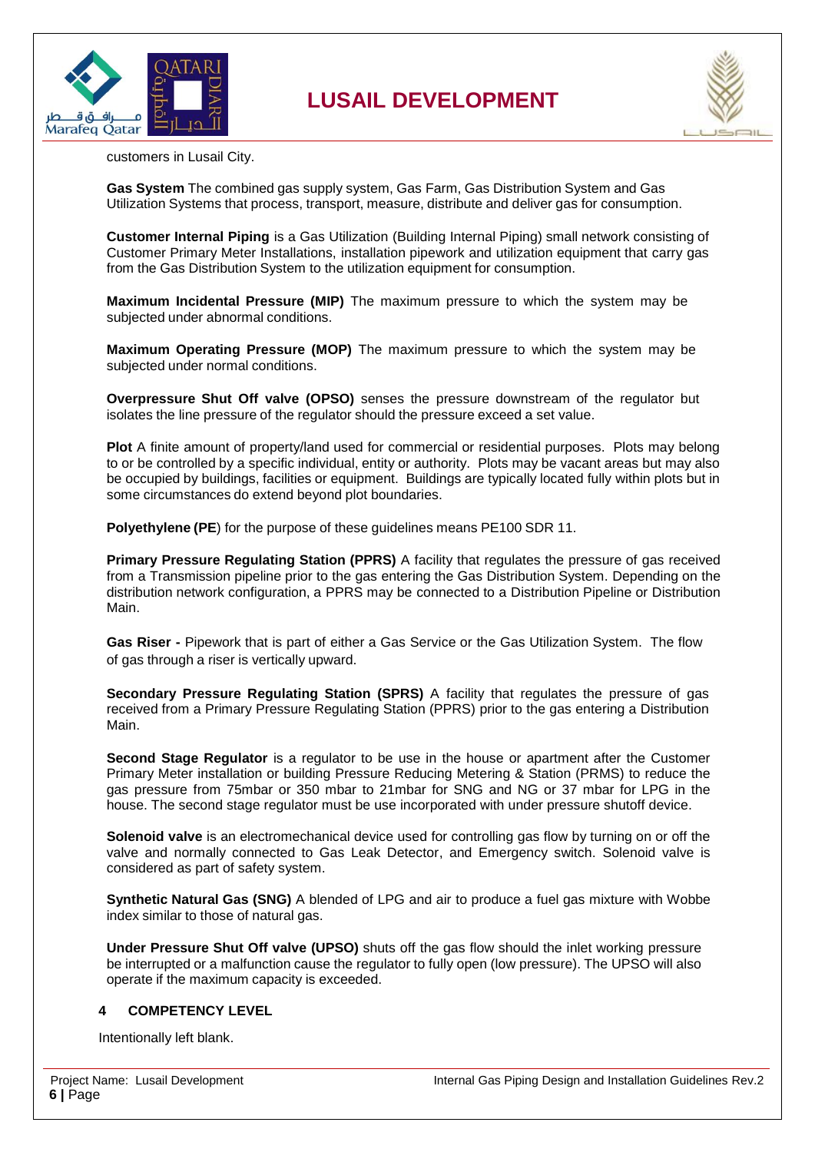



customers in Lusail City.

**Gas System** The combined gas supply system, Gas Farm, Gas Distribution System and Gas Utilization Systems that process, transport, measure, distribute and deliver gas for consumption.

**Customer Internal Piping** is a Gas Utilization (Building Internal Piping) small network consisting of Customer Primary Meter Installations, installation pipework and utilization equipment that carry gas from the Gas Distribution System to the utilization equipment for consumption.

**Maximum Incidental Pressure (MIP)** The maximum pressure to which the system may be subjected under abnormal conditions.

**Maximum Operating Pressure (MOP)** The maximum pressure to which the system may be subjected under normal conditions.

**Overpressure Shut Off valve (OPSO)** senses the pressure downstream of the regulator but isolates the line pressure of the regulator should the pressure exceed a set value.

**Plot** A finite amount of property/land used for commercial or residential purposes. Plots may belong to or be controlled by a specific individual, entity or authority. Plots may be vacant areas but may also be occupied by buildings, facilities or equipment. Buildings are typically located fully within plots but in some circumstances do extend beyond plot boundaries.

**Polyethylene (PE**) for the purpose of these guidelines means PE100 SDR 11.

**Primary Pressure Regulating Station (PPRS)** A facility that regulates the pressure of gas received from a Transmission pipeline prior to the gas entering the Gas Distribution System. Depending on the distribution network configuration, a PPRS may be connected to a Distribution Pipeline or Distribution Main.

**Gas Riser -** Pipework that is part of either a Gas Service or the Gas Utilization System. The flow of gas through a riser is vertically upward.

**Secondary Pressure Regulating Station (SPRS)** A facility that regulates the pressure of gas received from a Primary Pressure Regulating Station (PPRS) prior to the gas entering a Distribution Main.

**Second Stage Regulator** is a regulator to be use in the house or apartment after the Customer Primary Meter installation or building Pressure Reducing Metering & Station (PRMS) to reduce the gas pressure from 75mbar or 350 mbar to 21mbar for SNG and NG or 37 mbar for LPG in the house. The second stage regulator must be use incorporated with under pressure shutoff device.

**Solenoid valve** is an electromechanical device used for controlling gas flow by turning on or off the valve and normally connected to Gas Leak Detector, and Emergency switch. Solenoid valve is considered as part of safety system.

**Synthetic Natural Gas (SNG)** A blended of LPG and air to produce a fuel gas mixture with Wobbe index similar to those of natural gas.

**Under Pressure Shut Off valve (UPSO)** shuts off the gas flow should the inlet working pressure be interrupted or a malfunction cause the regulator to fully open (low pressure). The UPSO will also operate if the maximum capacity is exceeded.

#### <span id="page-5-0"></span>**4 COMPETENCY LEVEL**

Intentionally left blank.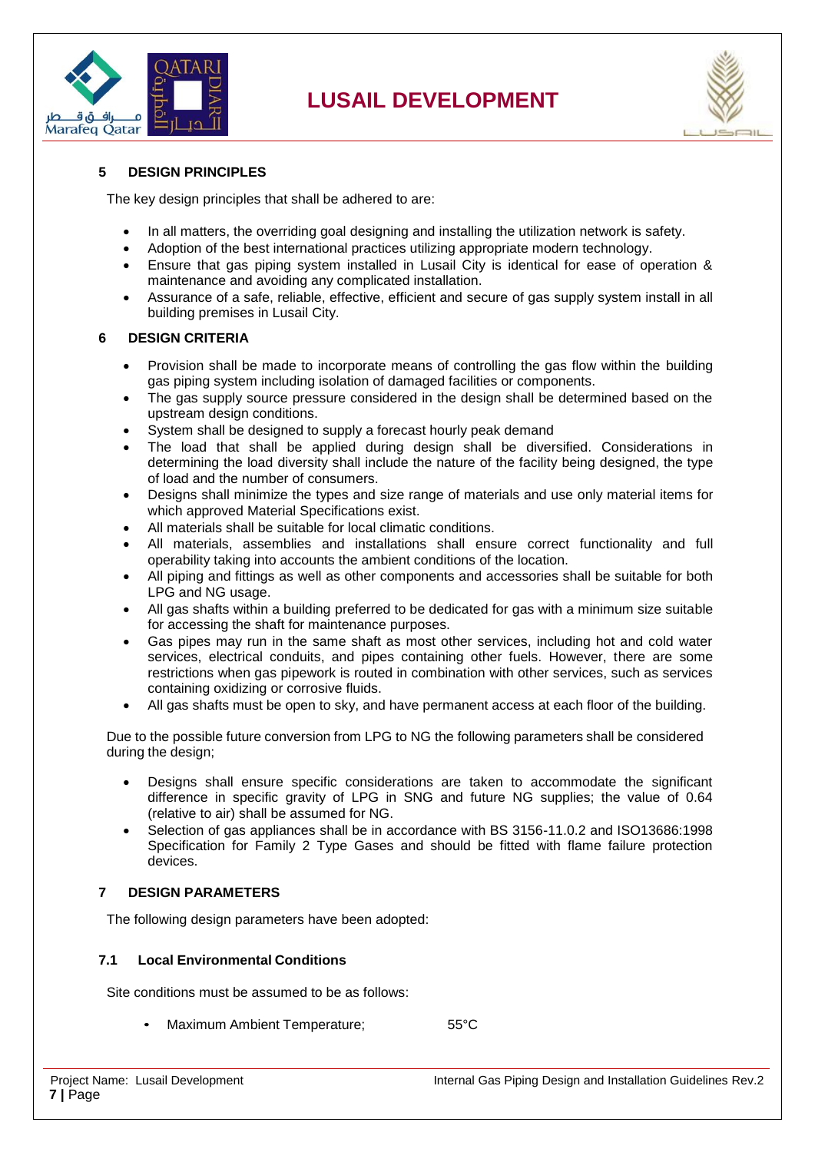



#### <span id="page-6-0"></span>**5 DESIGN PRINCIPLES**

The key design principles that shall be adhered to are:

- In all matters, the overriding goal designing and installing the utilization network is safety.
- Adoption of the best international practices utilizing appropriate modern technology.
- Ensure that gas piping system installed in Lusail City is identical for ease of operation & maintenance and avoiding any complicated installation.
- Assurance of a safe, reliable, effective, efficient and secure of gas supply system install in all building premises in Lusail City.

#### <span id="page-6-1"></span>**6 DESIGN CRITERIA**

- Provision shall be made to incorporate means of controlling the gas flow within the building gas piping system including isolation of damaged facilities or components.
- The gas supply source pressure considered in the design shall be determined based on the upstream design conditions.
- System shall be designed to supply a forecast hourly peak demand
- The load that shall be applied during design shall be diversified. Considerations in determining the load diversity shall include the nature of the facility being designed, the type of load and the number of consumers.
- Designs shall minimize the types and size range of materials and use only material items for which approved Material Specifications exist.
- All materials shall be suitable for local climatic conditions.
- All materials, assemblies and installations shall ensure correct functionality and full operability taking into accounts the ambient conditions of the location.
- All piping and fittings as well as other components and accessories shall be suitable for both LPG and NG usage.
- All gas shafts within a building preferred to be dedicated for gas with a minimum size suitable for accessing the shaft for maintenance purposes.
- Gas pipes may run in the same shaft as most other services, including hot and cold water services, electrical conduits, and pipes containing other fuels. However, there are some restrictions when gas pipework is routed in combination with other services, such as services containing oxidizing or corrosive fluids.
- All gas shafts must be open to sky, and have permanent access at each floor of the building.

Due to the possible future conversion from LPG to NG the following parameters shall be considered during the design;

- Designs shall ensure specific considerations are taken to accommodate the significant difference in specific gravity of LPG in SNG and future NG supplies; the value of 0.64 (relative to air) shall be assumed for NG.
- Selection of gas appliances shall be in accordance with BS 3156-11.0.2 and ISO13686:1998 Specification for Family 2 Type Gases and should be fitted with flame failure protection devices.

#### <span id="page-6-2"></span>**7 DESIGN PARAMETERS**

<span id="page-6-3"></span>The following design parameters have been adopted:

#### **7.1 Local Environmental Conditions**

Site conditions must be assumed to be as follows:

Maximum Ambient Temperature; 65°C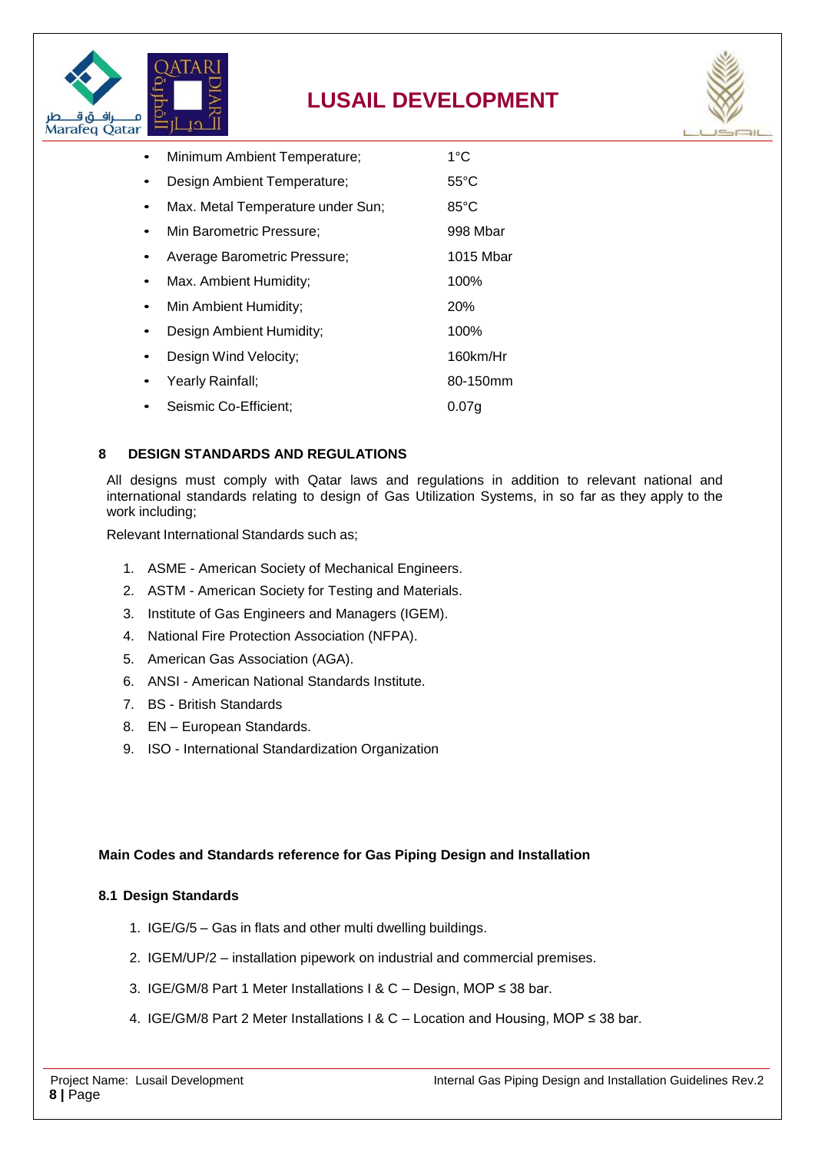



| Minimum Ambient Temperature;      | $1^{\circ}$ C     |
|-----------------------------------|-------------------|
| Design Ambient Temperature;       | $55^{\circ}$ C    |
| Max. Metal Temperature under Sun; | $85^{\circ}$ C    |
| Min Barometric Pressure;          | 998 Mbar          |
| Average Barometric Pressure;      | 1015 Mbar         |
| Max. Ambient Humidity;            | 100%              |
| Min Ambient Humidity;             | <b>20%</b>        |
| Design Ambient Humidity;          | 100%              |
| Design Wind Velocity;             | 160km/Hr          |
| Yearly Rainfall;                  | 80-150mm          |
| Seismic Co-Efficient;             | 0.07 <sub>q</sub> |
|                                   |                   |

#### <span id="page-7-0"></span>**8 DESIGN STANDARDS AND REGULATIONS**

All designs must comply with Qatar laws and regulations in addition to relevant national and international standards relating to design of Gas Utilization Systems, in so far as they apply to the work including;

Relevant International Standards such as;

- 1. ASME American Society of Mechanical Engineers.
- 2. ASTM American Society for Testing and Materials.
- 3. Institute of Gas Engineers and Managers (IGEM).
- 4. National Fire Protection Association (NFPA).
- 5. American Gas Association (AGA).
- 6. ANSI American National Standards Institute.
- 7. BS British Standards
- 8. EN European Standards.
- 9. ISO International Standardization Organization

#### **Main Codes and Standards reference for Gas Piping Design and Installation**

#### <span id="page-7-1"></span>**8.1 Design Standards**

- 1. IGE/G/5 Gas in flats and other multi dwelling buildings.
- 2. IGEM/UP/2 installation pipework on industrial and commercial premises.
- 3. IGE/GM/8 Part 1 Meter Installations I & C Design, MOP ≤ 38 bar.
- 4. IGE/GM/8 Part 2 Meter Installations I & C Location and Housing, MOP ≤ 38 bar.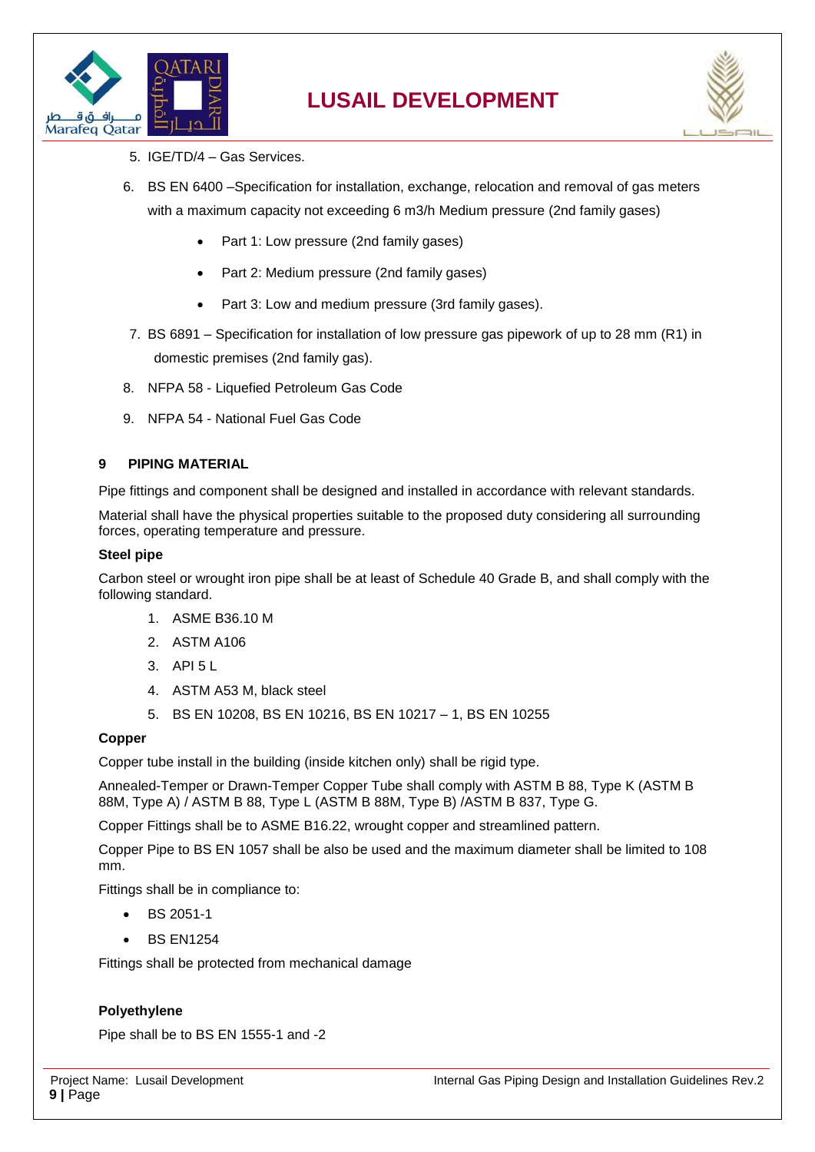



- 5. IGE/TD/4 Gas Services.
- 6. BS EN 6400 –Specification for installation, exchange, relocation and removal of gas meters with a maximum capacity not exceeding 6 m3/h Medium pressure (2nd family gases)
	- Part 1: Low pressure (2nd family gases)
	- Part 2: Medium pressure (2nd family gases)
	- Part 3: Low and medium pressure (3rd family gases).
- 7. BS 6891 Specification for installation of low pressure gas pipework of up to 28 mm (R1) in domestic premises (2nd family gas).
- 8. NFPA 58 Liquefied Petroleum Gas Code
- 9. NFPA 54 National Fuel Gas Code

#### <span id="page-8-0"></span>**9 PIPING MATERIAL**

Pipe fittings and component shall be designed and installed in accordance with relevant standards.

Material shall have the physical properties suitable to the proposed duty considering all surrounding forces, operating temperature and pressure.

#### **Steel pipe**

Carbon steel or wrought iron pipe shall be at least of Schedule 40 Grade B, and shall comply with the following standard.

- 1. ASME B36.10 M
- 2. ASTM A106
- 3. API 5 L
- 4. ASTM A53 M, black steel
- 5. BS EN 10208, BS EN 10216, BS EN 10217 1, BS EN 10255

#### **Copper**

Copper tube install in the building (inside kitchen only) shall be rigid type.

Annealed-Temper or Drawn-Temper Copper Tube shall comply with ASTM B 88, Type K (ASTM B 88M, Type A) / ASTM B 88, Type L (ASTM B 88M, Type B) /ASTM B 837, Type G.

Copper Fittings shall be to ASME B16.22, wrought copper and streamlined pattern.

Copper Pipe to BS EN 1057 shall be also be used and the maximum diameter shall be limited to 108 mm.

Fittings shall be in compliance to:

- BS 2051-1
- BS EN1254

Fittings shall be protected from mechanical damage

#### **Polyethylene**

Pipe shall be to BS EN 1555-1 and -2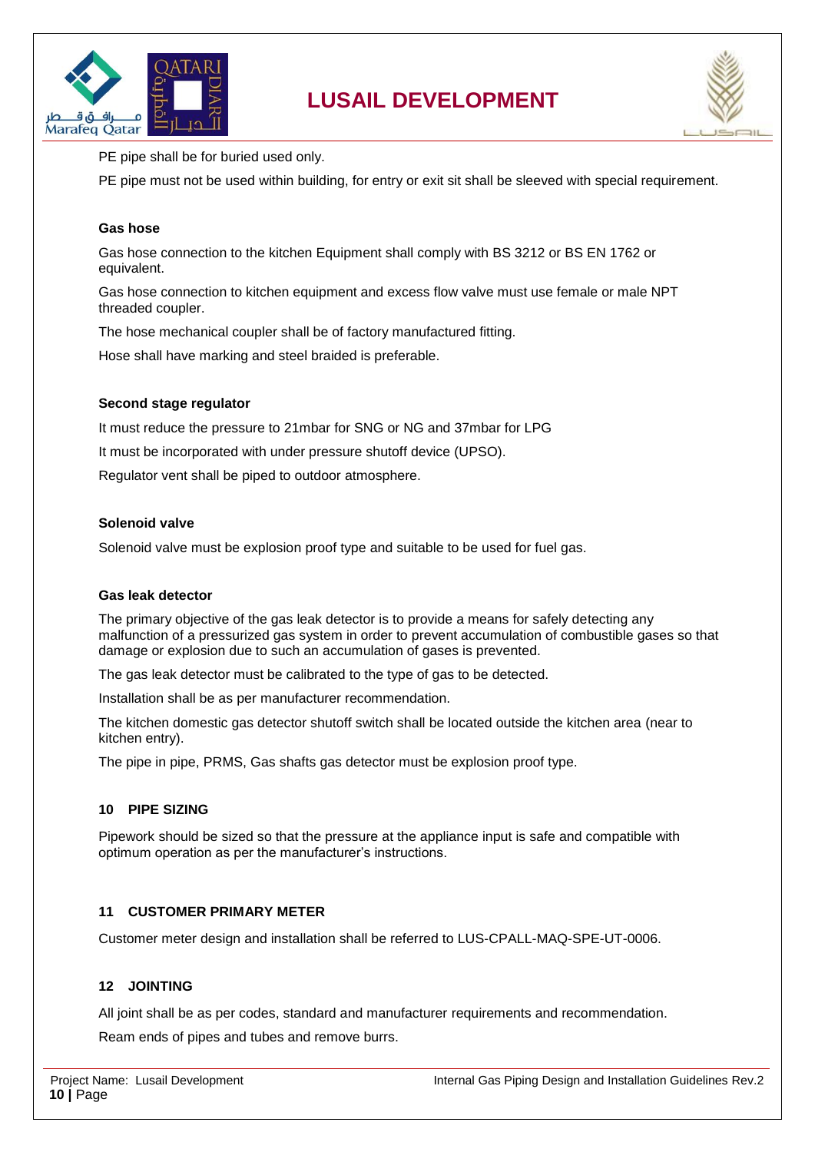



PE pipe shall be for buried used only.

PE pipe must not be used within building, for entry or exit sit shall be sleeved with special requirement.

#### **Gas hose**

Gas hose connection to the kitchen Equipment shall comply with BS 3212 or BS EN 1762 or equivalent.

Gas hose connection to kitchen equipment and excess flow valve must use female or male NPT threaded coupler.

The hose mechanical coupler shall be of factory manufactured fitting.

Hose shall have marking and steel braided is preferable.

#### **Second stage regulator**

It must reduce the pressure to 21mbar for SNG or NG and 37mbar for LPG

It must be incorporated with under pressure shutoff device (UPSO).

Regulator vent shall be piped to outdoor atmosphere.

#### **Solenoid valve**

Solenoid valve must be explosion proof type and suitable to be used for fuel gas.

#### **Gas leak detector**

The primary objective of the gas leak detector is to provide a means for safely detecting any malfunction of a pressurized gas system in order to prevent accumulation of combustible gases so that damage or explosion due to such an accumulation of gases is prevented.

The gas leak detector must be calibrated to the type of gas to be detected.

Installation shall be as per manufacturer recommendation.

The kitchen domestic gas detector shutoff switch shall be located outside the kitchen area (near to kitchen entry).

The pipe in pipe, PRMS, Gas shafts gas detector must be explosion proof type.

#### <span id="page-9-0"></span>**10 PIPE SIZING**

Pipework should be sized so that the pressure at the appliance input is safe and compatible with optimum operation as per the manufacturer's instructions.

#### <span id="page-9-1"></span>**11 CUSTOMER PRIMARY METER**

Customer meter design and installation shall be referred to LUS-CPALL-MAQ-SPE-UT-0006.

#### <span id="page-9-2"></span>**12 JOINTING**

All joint shall be as per codes, standard and manufacturer requirements and recommendation.

Ream ends of pipes and tubes and remove burrs.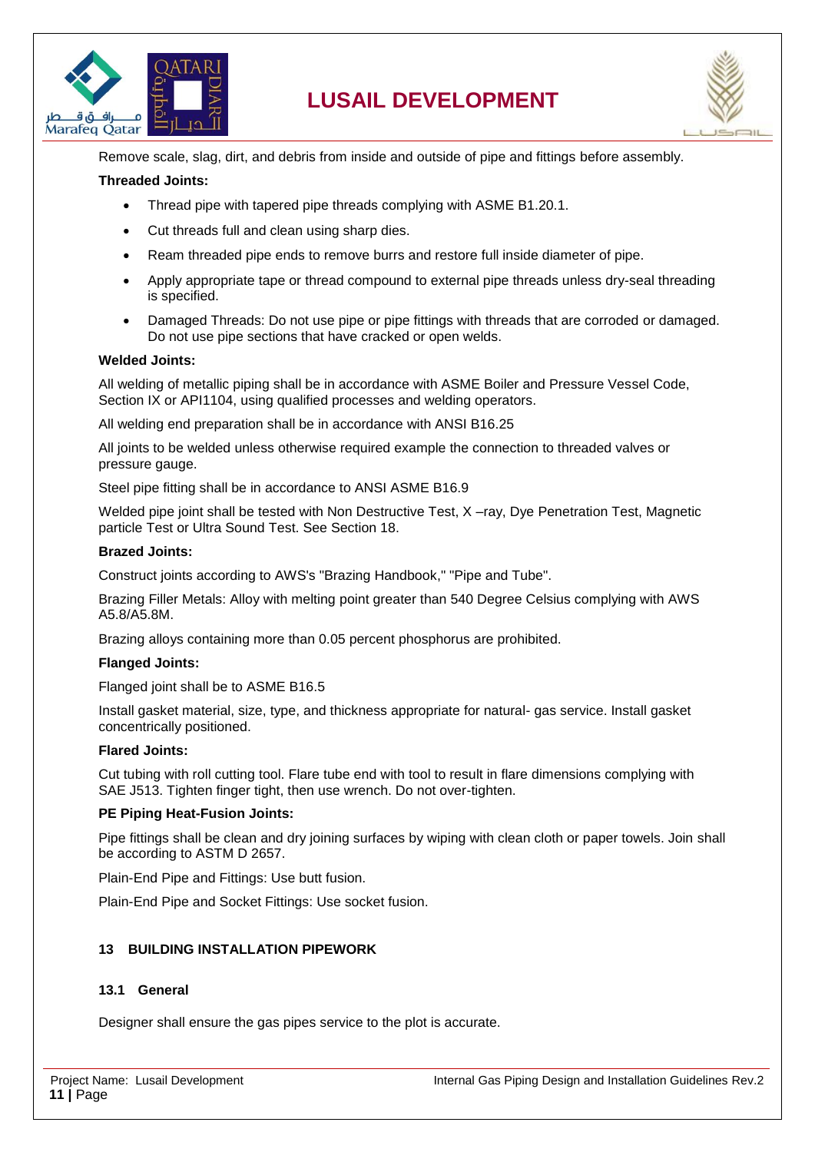



Remove scale, slag, dirt, and debris from inside and outside of pipe and fittings before assembly.

#### **Threaded Joints:**

- Thread pipe with tapered pipe threads complying with ASME B1.20.1.
- Cut threads full and clean using sharp dies.
- Ream threaded pipe ends to remove burrs and restore full inside diameter of pipe.
- Apply appropriate tape or thread compound to external pipe threads unless dry-seal threading is specified.
- Damaged Threads: Do not use pipe or pipe fittings with threads that are corroded or damaged. Do not use pipe sections that have cracked or open welds.

#### **Welded Joints:**

All welding of metallic piping shall be in accordance with ASME Boiler and Pressure Vessel Code, Section IX or API1104, using qualified processes and welding operators.

All welding end preparation shall be in accordance with ANSI B16.25

All joints to be welded unless otherwise required example the connection to threaded valves or pressure gauge.

Steel pipe fitting shall be in accordance to ANSI ASME B16.9

Welded pipe joint shall be tested with Non Destructive Test, X –ray, Dye Penetration Test, Magnetic particle Test or Ultra Sound Test. See Section 18.

#### **Brazed Joints:**

Construct joints according to AWS's "Brazing Handbook," "Pipe and Tube".

Brazing Filler Metals: Alloy with melting point greater than 540 Degree Celsius complying with AWS A5.8/A5.8M.

Brazing alloys containing more than 0.05 percent phosphorus are prohibited.

#### **Flanged Joints:**

Flanged joint shall be to ASME B16.5

Install gasket material, size, type, and thickness appropriate for natural- gas service. Install gasket concentrically positioned.

#### **Flared Joints:**

Cut tubing with roll cutting tool. Flare tube end with tool to result in flare dimensions complying with SAE J513. Tighten finger tight, then use wrench. Do not over-tighten.

#### **PE Piping Heat-Fusion Joints:**

Pipe fittings shall be clean and dry joining surfaces by wiping with clean cloth or paper towels. Join shall be according to ASTM D 2657.

Plain-End Pipe and Fittings: Use butt fusion.

Plain-End Pipe and Socket Fittings: Use socket fusion.

#### <span id="page-10-0"></span>**13 BUILDING INSTALLATION PIPEWORK**

#### <span id="page-10-1"></span>**13.1 General**

Designer shall ensure the gas pipes service to the plot is accurate.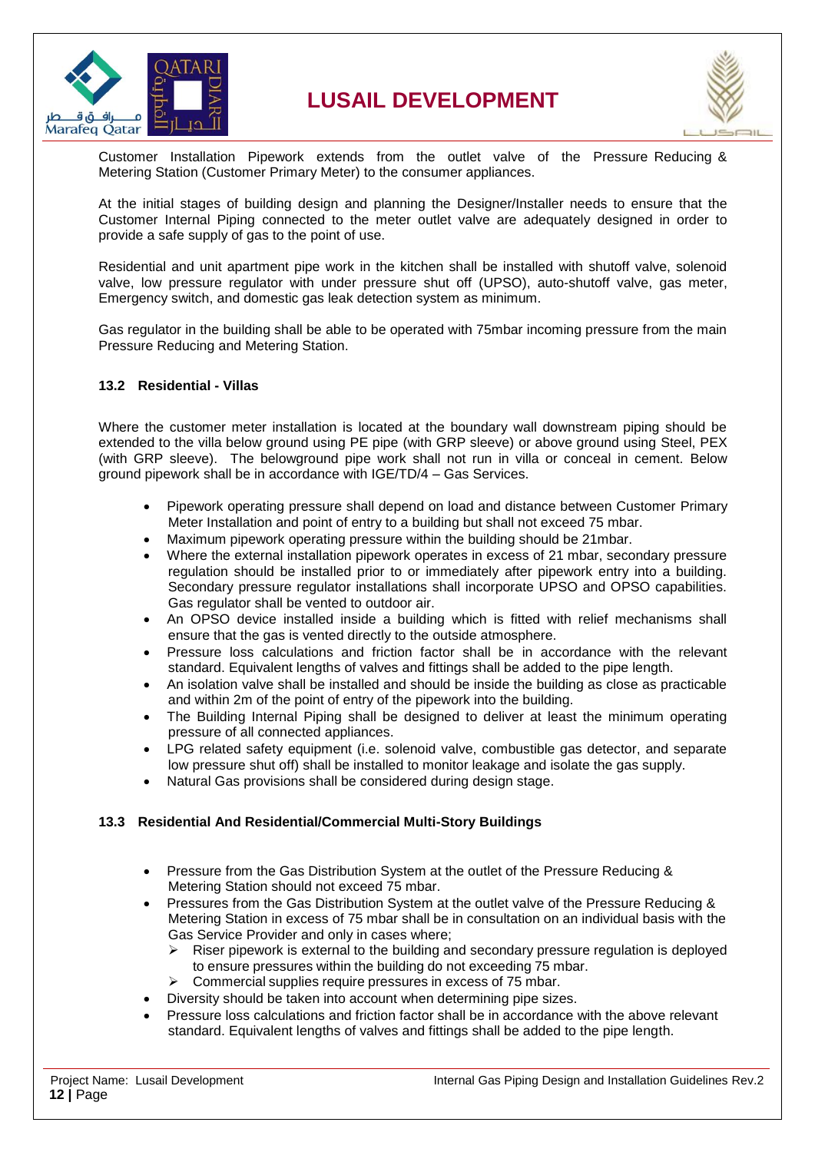



Customer Installation Pipework extends from the outlet valve of the Pressure Reducing & Metering Station (Customer Primary Meter) to the consumer appliances.

At the initial stages of building design and planning the Designer/Installer needs to ensure that the Customer Internal Piping connected to the meter outlet valve are adequately designed in order to provide a safe supply of gas to the point of use.

Residential and unit apartment pipe work in the kitchen shall be installed with shutoff valve, solenoid valve, low pressure regulator with under pressure shut off (UPSO), auto-shutoff valve, gas meter, Emergency switch, and domestic gas leak detection system as minimum.

Gas regulator in the building shall be able to be operated with 75mbar incoming pressure from the main Pressure Reducing and Metering Station.

#### <span id="page-11-0"></span>**13.2 Residential - Villas**

Where the customer meter installation is located at the boundary wall downstream piping should be extended to the villa below ground using PE pipe (with GRP sleeve) or above ground using Steel, PEX (with GRP sleeve). The belowground pipe work shall not run in villa or conceal in cement. Below ground pipework shall be in accordance with IGE/TD/4 – Gas Services.

- Pipework operating pressure shall depend on load and distance between Customer Primary Meter Installation and point of entry to a building but shall not exceed 75 mbar.
- Maximum pipework operating pressure within the building should be 21mbar.
- Where the external installation pipework operates in excess of 21 mbar, secondary pressure regulation should be installed prior to or immediately after pipework entry into a building. Secondary pressure regulator installations shall incorporate UPSO and OPSO capabilities. Gas regulator shall be vented to outdoor air.
- An OPSO device installed inside a building which is fitted with relief mechanisms shall ensure that the gas is vented directly to the outside atmosphere.
- Pressure loss calculations and friction factor shall be in accordance with the relevant standard. Equivalent lengths of valves and fittings shall be added to the pipe length.
- An isolation valve shall be installed and should be inside the building as close as practicable and within 2m of the point of entry of the pipework into the building.
- The Building Internal Piping shall be designed to deliver at least the minimum operating pressure of all connected appliances.
- LPG related safety equipment (i.e. solenoid valve, combustible gas detector, and separate low pressure shut off) shall be installed to monitor leakage and isolate the gas supply.
- Natural Gas provisions shall be considered during design stage.

#### <span id="page-11-1"></span>**13.3 Residential And Residential/Commercial Multi-Story Buildings**

- Pressure from the Gas Distribution System at the outlet of the Pressure Reducing & Metering Station should not exceed 75 mbar.
- Pressures from the Gas Distribution System at the outlet valve of the Pressure Reducing & Metering Station in excess of 75 mbar shall be in consultation on an individual basis with the Gas Service Provider and only in cases where;
	- Riser pipework is external to the building and secondary pressure regulation is deployed to ensure pressures within the building do not exceeding 75 mbar.
	- Commercial supplies require pressures in excess of 75 mbar.
	- Diversity should be taken into account when determining pipe sizes.
- Pressure loss calculations and friction factor shall be in accordance with the above relevant standard. Equivalent lengths of valves and fittings shall be added to the pipe length.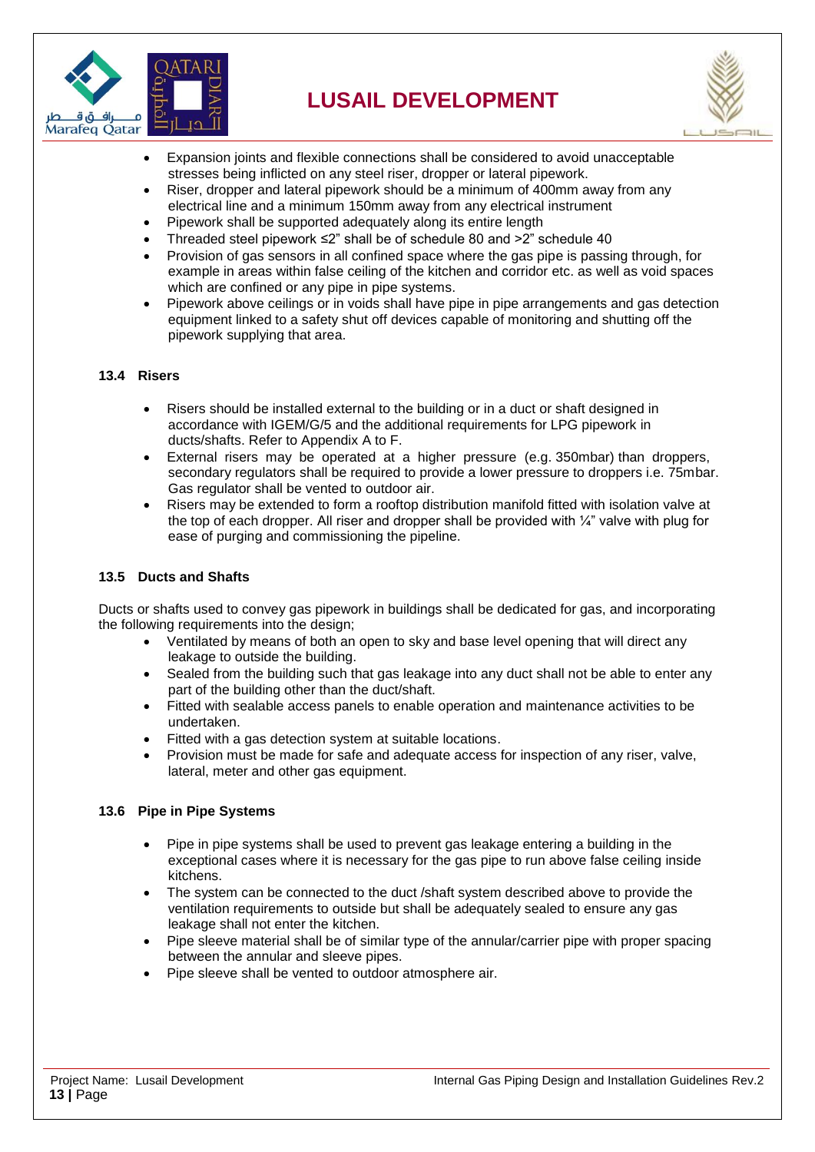



- Expansion joints and flexible connections shall be considered to avoid unacceptable stresses being inflicted on any steel riser, dropper or lateral pipework.
- Riser, dropper and lateral pipework should be a minimum of 400mm away from any electrical line and a minimum 150mm away from any electrical instrument
- Pipework shall be supported adequately along its entire length
- Threaded steel pipework ≤2" shall be of schedule 80 and >2" schedule 40
- Provision of gas sensors in all confined space where the gas pipe is passing through, for example in areas within false ceiling of the kitchen and corridor etc. as well as void spaces which are confined or any pipe in pipe systems.
- Pipework above ceilings or in voids shall have pipe in pipe arrangements and gas detection equipment linked to a safety shut off devices capable of monitoring and shutting off the pipework supplying that area.

#### <span id="page-12-0"></span>**13.4 Risers**

- Risers should be installed external to the building or in a duct or shaft designed in accordance with IGEM/G/5 and the additional requirements for LPG pipework in ducts/shafts. Refer to Appendix A to F.
- External risers may be operated at a higher pressure (e.g. 350mbar) than droppers, secondary regulators shall be required to provide a lower pressure to droppers i.e. 75mbar. Gas regulator shall be vented to outdoor air.
- Risers may be extended to form a rooftop distribution manifold fitted with isolation valve at the top of each dropper. All riser and dropper shall be provided with  $\frac{1}{4}$ " valve with plug for ease of purging and commissioning the pipeline.

#### <span id="page-12-1"></span>**13.5 Ducts and Shafts**

Ducts or shafts used to convey gas pipework in buildings shall be dedicated for gas, and incorporating the following requirements into the design;

- Ventilated by means of both an open to sky and base level opening that will direct any leakage to outside the building.
- Sealed from the building such that gas leakage into any duct shall not be able to enter any part of the building other than the duct/shaft.
- Fitted with sealable access panels to enable operation and maintenance activities to be undertaken.
- Fitted with a gas detection system at suitable locations.
- Provision must be made for safe and adequate access for inspection of any riser, valve, lateral, meter and other gas equipment.

#### <span id="page-12-2"></span>**13.6 Pipe in Pipe Systems**

- Pipe in pipe systems shall be used to prevent gas leakage entering a building in the exceptional cases where it is necessary for the gas pipe to run above false ceiling inside kitchens.
- The system can be connected to the duct /shaft system described above to provide the ventilation requirements to outside but shall be adequately sealed to ensure any gas leakage shall not enter the kitchen.
- Pipe sleeve material shall be of similar type of the annular/carrier pipe with proper spacing between the annular and sleeve pipes.
- Pipe sleeve shall be vented to outdoor atmosphere air.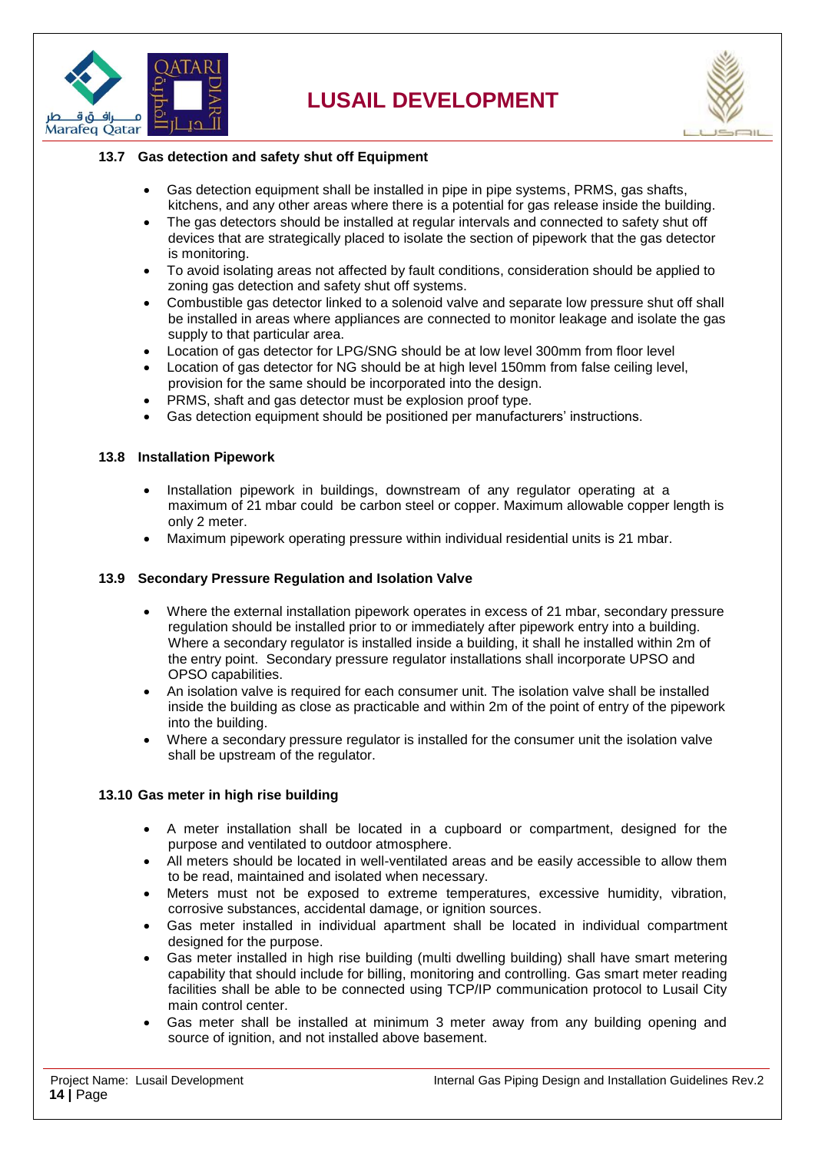



#### <span id="page-13-0"></span>**13.7 Gas detection and safety shut off Equipment**

- Gas detection equipment shall be installed in pipe in pipe systems, PRMS, gas shafts, kitchens, and any other areas where there is a potential for gas release inside the building.
- The gas detectors should be installed at regular intervals and connected to safety shut off devices that are strategically placed to isolate the section of pipework that the gas detector is monitoring.
- To avoid isolating areas not affected by fault conditions, consideration should be applied to zoning gas detection and safety shut off systems.
- Combustible gas detector linked to a solenoid valve and separate low pressure shut off shall be installed in areas where appliances are connected to monitor leakage and isolate the gas supply to that particular area.
- Location of gas detector for LPG/SNG should be at low level 300mm from floor level
- Location of gas detector for NG should be at high level 150mm from false ceiling level, provision for the same should be incorporated into the design.
- PRMS, shaft and gas detector must be explosion proof type.
- Gas detection equipment should be positioned per manufacturers' instructions.

#### <span id="page-13-1"></span>**13.8 Installation Pipework**

- Installation pipework in buildings, downstream of any regulator operating at a maximum of 21 mbar could be carbon steel or copper. Maximum allowable copper length is only 2 meter.
- Maximum pipework operating pressure within individual residential units is 21 mbar.

#### <span id="page-13-2"></span>**13.9 Secondary Pressure Regulation and Isolation Valve**

- Where the external installation pipework operates in excess of 21 mbar, secondary pressure regulation should be installed prior to or immediately after pipework entry into a building. Where a secondary regulator is installed inside a building, it shall he installed within 2m of the entry point. Secondary pressure regulator installations shall incorporate UPSO and OPSO capabilities.
- An isolation valve is required for each consumer unit. The isolation valve shall be installed inside the building as close as practicable and within 2m of the point of entry of the pipework into the building.
- Where a secondary pressure regulator is installed for the consumer unit the isolation valve shall be upstream of the regulator.

#### <span id="page-13-3"></span>**13.10 Gas meter in high rise building**

- A meter installation shall be located in a cupboard or compartment, designed for the purpose and ventilated to outdoor atmosphere.
- All meters should be located in well-ventilated areas and be easily accessible to allow them to be read, maintained and isolated when necessary.
- Meters must not be exposed to extreme temperatures, excessive humidity, vibration, corrosive substances, accidental damage, or ignition sources.
- Gas meter installed in individual apartment shall be located in individual compartment designed for the purpose.
- Gas meter installed in high rise building (multi dwelling building) shall have smart metering capability that should include for billing, monitoring and controlling. Gas smart meter reading facilities shall be able to be connected using TCP/IP communication protocol to Lusail City main control center.
- Gas meter shall be installed at minimum 3 meter away from any building opening and source of ignition, and not installed above basement.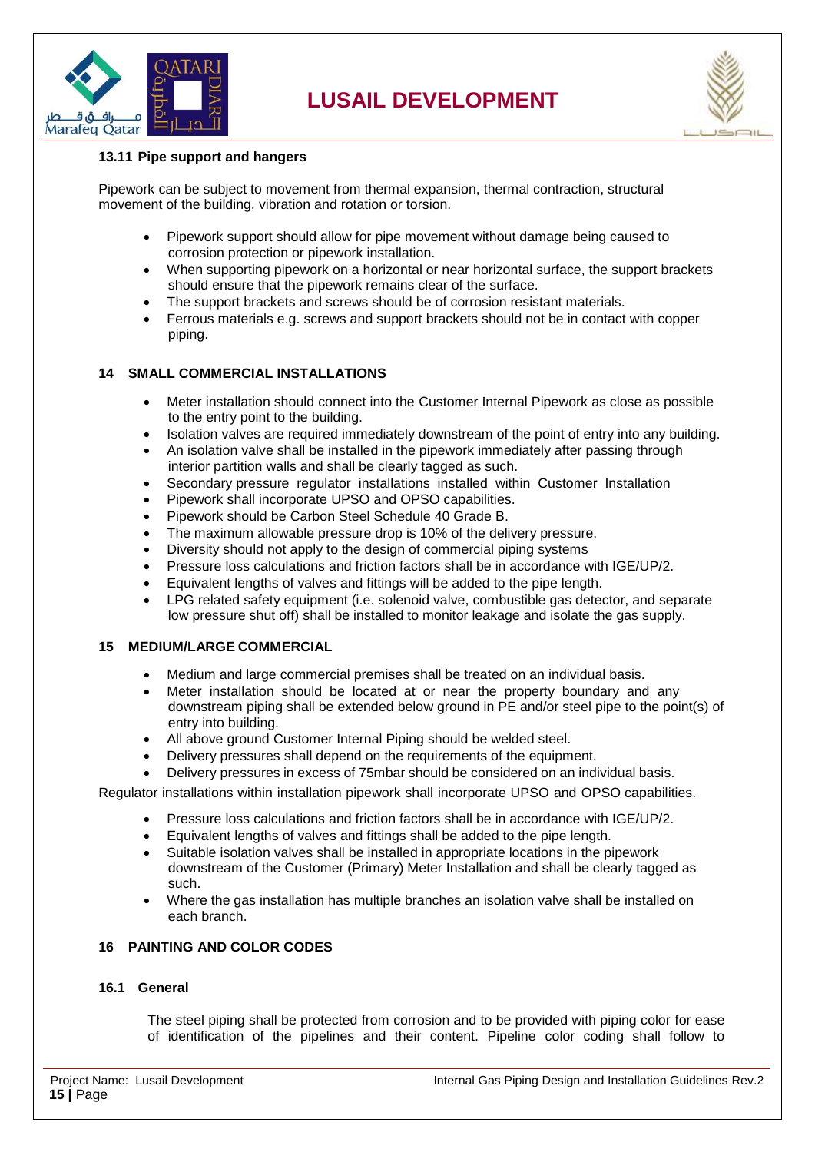



#### <span id="page-14-0"></span>**13.11 Pipe support and hangers**

Pipework can be subject to movement from thermal expansion, thermal contraction, structural movement of the building, vibration and rotation or torsion.

- Pipework support should allow for pipe movement without damage being caused to corrosion protection or pipework installation.
- When supporting pipework on a horizontal or near horizontal surface, the support brackets should ensure that the pipework remains clear of the surface.
- The support brackets and screws should be of corrosion resistant materials.
- Ferrous materials e.g. screws and support brackets should not be in contact with copper piping.

#### <span id="page-14-1"></span>**14 SMALL COMMERCIAL INSTALLATIONS**

- Meter installation should connect into the Customer Internal Pipework as close as possible to the entry point to the building.
- Isolation valves are required immediately downstream of the point of entry into any building.
- An isolation valve shall be installed in the pipework immediately after passing through interior partition walls and shall be clearly tagged as such.
- Secondary pressure regulator installations installed within Customer Installation
- Pipework shall incorporate UPSO and OPSO capabilities.
- Pipework should be Carbon Steel Schedule 40 Grade B.
- The maximum allowable pressure drop is 10% of the delivery pressure.
- Diversity should not apply to the design of commercial piping systems
- Pressure loss calculations and friction factors shall be in accordance with IGE/UP/2.
- Equivalent lengths of valves and fittings will be added to the pipe length.
- LPG related safety equipment (i.e. solenoid valve, combustible gas detector, and separate low pressure shut off) shall be installed to monitor leakage and isolate the gas supply.

#### <span id="page-14-2"></span>**15 MEDIUM/LARGE COMMERCIAL**

- Medium and large commercial premises shall be treated on an individual basis.
- Meter installation should be located at or near the property boundary and any downstream piping shall be extended below ground in PE and/or steel pipe to the point(s) of entry into building.
- All above ground Customer Internal Piping should be welded steel.
- Delivery pressures shall depend on the requirements of the equipment.
- Delivery pressures in excess of 75mbar should be considered on an individual basis.

Regulator installations within installation pipework shall incorporate UPSO and OPSO capabilities.

- Pressure loss calculations and friction factors shall be in accordance with IGE/UP/2.
- Equivalent lengths of valves and fittings shall be added to the pipe length.
- Suitable isolation valves shall be installed in appropriate locations in the pipework downstream of the Customer (Primary) Meter Installation and shall be clearly tagged as such.
- Where the gas installation has multiple branches an isolation valve shall be installed on each branch.

#### <span id="page-14-3"></span>**16 PAINTING AND COLOR CODES**

#### <span id="page-14-4"></span>**16.1 General**

The steel piping shall be protected from corrosion and to be provided with piping color for ease of identification of the pipelines and their content. Pipeline color coding shall follow to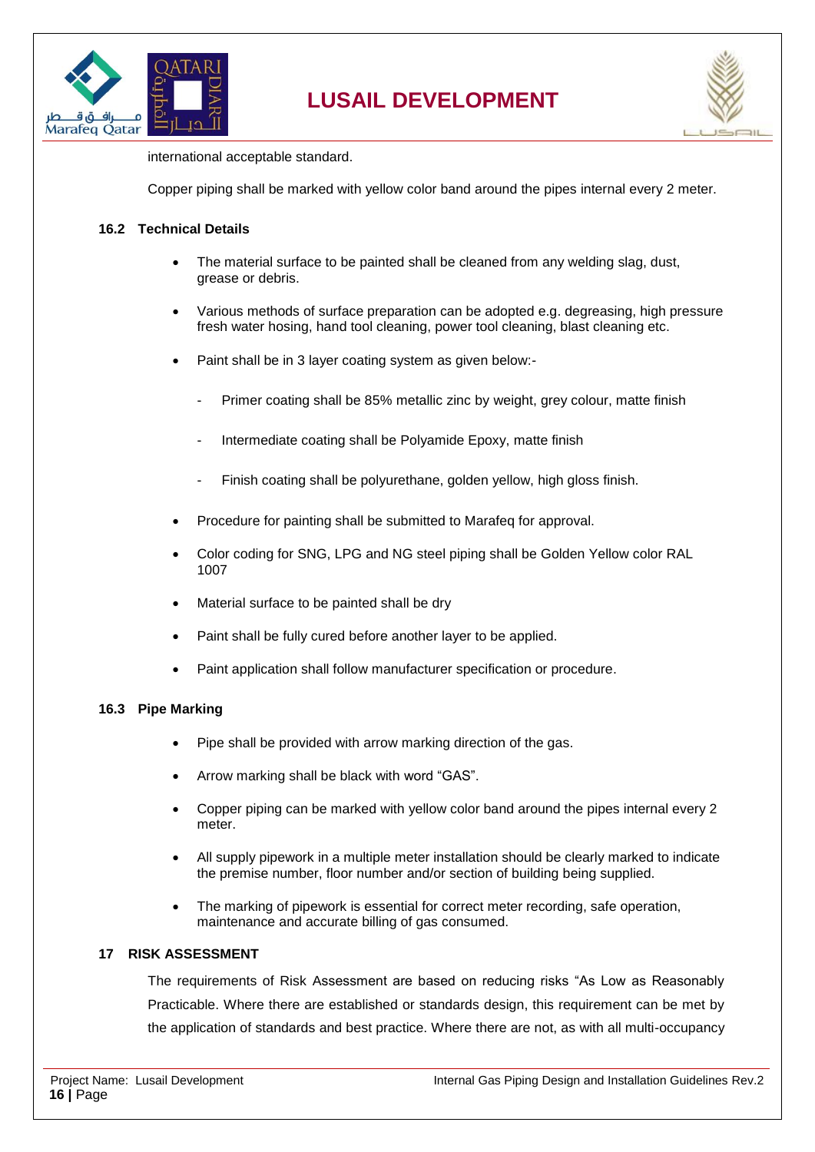



international acceptable standard.

Copper piping shall be marked with yellow color band around the pipes internal every 2 meter.

#### <span id="page-15-0"></span>**16.2 Technical Details**

- The material surface to be painted shall be cleaned from any welding slag, dust, grease or debris.
- Various methods of surface preparation can be adopted e.g. degreasing, high pressure fresh water hosing, hand tool cleaning, power tool cleaning, blast cleaning etc.
- Paint shall be in 3 layer coating system as given below:-
	- Primer coating shall be 85% metallic zinc by weight, grey colour, matte finish
	- Intermediate coating shall be Polyamide Epoxy, matte finish
	- Finish coating shall be polyurethane, golden yellow, high gloss finish.
- Procedure for painting shall be submitted to Marafeq for approval.
- Color coding for SNG, LPG and NG steel piping shall be Golden Yellow color RAL 1007
- Material surface to be painted shall be dry
- Paint shall be fully cured before another layer to be applied.
- Paint application shall follow manufacturer specification or procedure.

#### <span id="page-15-1"></span>**16.3 Pipe Marking**

- Pipe shall be provided with arrow marking direction of the gas.
- Arrow marking shall be black with word "GAS".
- Copper piping can be marked with yellow color band around the pipes internal every 2 meter.
- All supply pipework in a multiple meter installation should be clearly marked to indicate the premise number, floor number and/or section of building being supplied.
- The marking of pipework is essential for correct meter recording, safe operation, maintenance and accurate billing of gas consumed.

#### <span id="page-15-2"></span>**17 RISK ASSESSMENT**

The requirements of Risk Assessment are based on reducing risks "As Low as Reasonably Practicable. Where there are established or standards design, this requirement can be met by the application of standards and best practice. Where there are not, as with all multi-occupancy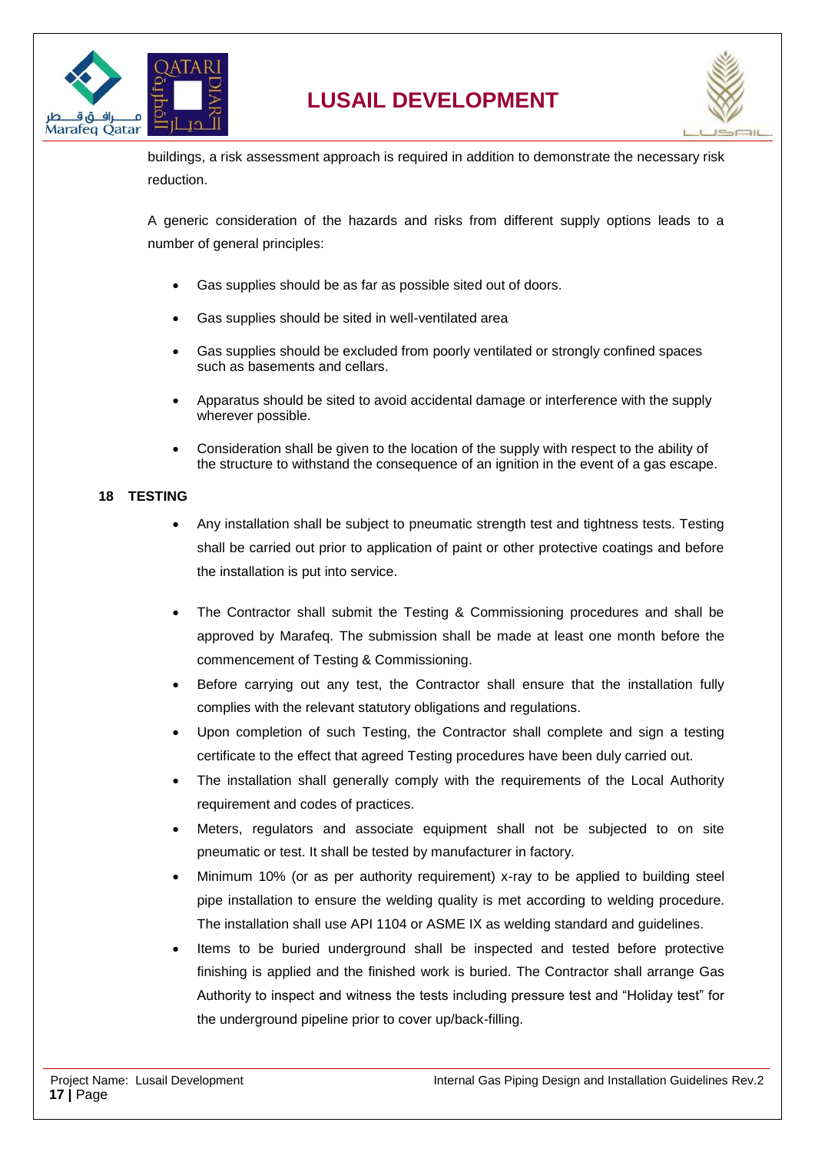



buildings, a risk assessment approach is required in addition to demonstrate the necessary risk reduction.

A generic consideration of the hazards and risks from different supply options leads to a number of general principles:

- Gas supplies should be as far as possible sited out of doors.
- Gas supplies should be sited in well-ventilated area
- Gas supplies should be excluded from poorly ventilated or strongly confined spaces such as basements and cellars.
- Apparatus should be sited to avoid accidental damage or interference with the supply wherever possible.
- Consideration shall be given to the location of the supply with respect to the ability of the structure to withstand the consequence of an ignition in the event of a gas escape.

#### <span id="page-16-0"></span>**18 TESTING**

- Any installation shall be subject to pneumatic strength test and tightness tests. Testing shall be carried out prior to application of paint or other protective coatings and before the installation is put into service.
- The Contractor shall submit the Testing & Commissioning procedures and shall be approved by Marafeq. The submission shall be made at least one month before the commencement of Testing & Commissioning.
- Before carrying out any test, the Contractor shall ensure that the installation fully complies with the relevant statutory obligations and regulations.
- Upon completion of such Testing, the Contractor shall complete and sign a testing certificate to the effect that agreed Testing procedures have been duly carried out.
- The installation shall generally comply with the requirements of the Local Authority requirement and codes of practices.
- Meters, regulators and associate equipment shall not be subjected to on site pneumatic or test. It shall be tested by manufacturer in factory.
- Minimum 10% (or as per authority requirement) x-ray to be applied to building steel pipe installation to ensure the welding quality is met according to welding procedure. The installation shall use API 1104 or ASME IX as welding standard and guidelines.
- Items to be buried underground shall be inspected and tested before protective finishing is applied and the finished work is buried. The Contractor shall arrange Gas Authority to inspect and witness the tests including pressure test and "Holiday test" for the underground pipeline prior to cover up/back-filling.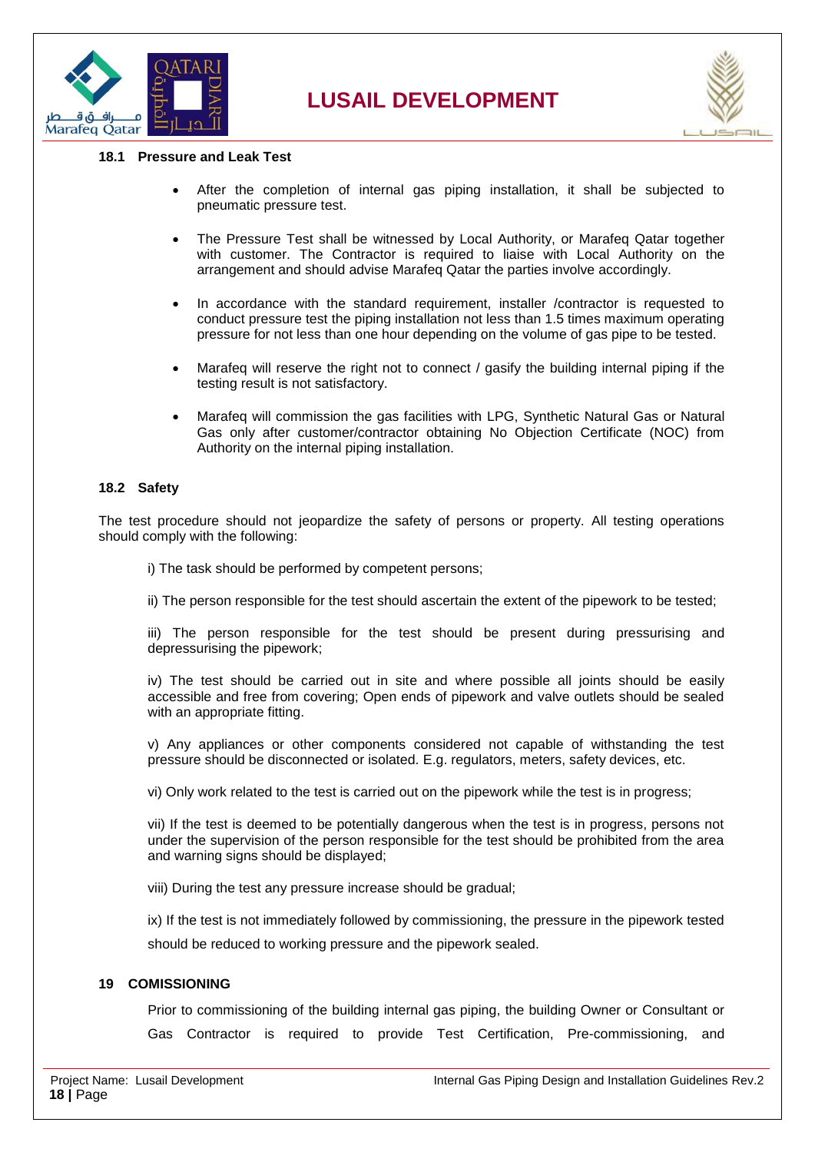



#### <span id="page-17-0"></span>**18.1 Pressure and Leak Test**

- After the completion of internal gas piping installation, it shall be subjected to pneumatic pressure test.
- The Pressure Test shall be witnessed by Local Authority, or Marafeq Qatar together with customer. The Contractor is required to liaise with Local Authority on the arrangement and should advise Marafeq Qatar the parties involve accordingly.
- In accordance with the standard requirement, installer /contractor is requested to conduct pressure test the piping installation not less than 1.5 times maximum operating pressure for not less than one hour depending on the volume of gas pipe to be tested.
- Marafeq will reserve the right not to connect / gasify the building internal piping if the testing result is not satisfactory.
- Marafeq will commission the gas facilities with LPG, Synthetic Natural Gas or Natural Gas only after customer/contractor obtaining No Objection Certificate (NOC) from Authority on the internal piping installation.

#### <span id="page-17-1"></span>**18.2 Safety**

The test procedure should not jeopardize the safety of persons or property. All testing operations should comply with the following:

i) The task should be performed by competent persons;

ii) The person responsible for the test should ascertain the extent of the pipework to be tested;

iii) The person responsible for the test should be present during pressurising and depressurising the pipework;

iv) The test should be carried out in site and where possible all joints should be easily accessible and free from covering; Open ends of pipework and valve outlets should be sealed with an appropriate fitting.

v) Any appliances or other components considered not capable of withstanding the test pressure should be disconnected or isolated. E.g. regulators, meters, safety devices, etc.

vi) Only work related to the test is carried out on the pipework while the test is in progress;

vii) If the test is deemed to be potentially dangerous when the test is in progress, persons not under the supervision of the person responsible for the test should be prohibited from the area and warning signs should be displayed;

viii) During the test any pressure increase should be gradual;

ix) If the test is not immediately followed by commissioning, the pressure in the pipework tested should be reduced to working pressure and the pipework sealed.

#### <span id="page-17-2"></span>**19 COMISSIONING**

Prior to commissioning of the building internal gas piping, the building Owner or Consultant or Gas Contractor is required to provide Test Certification, Pre-commissioning, and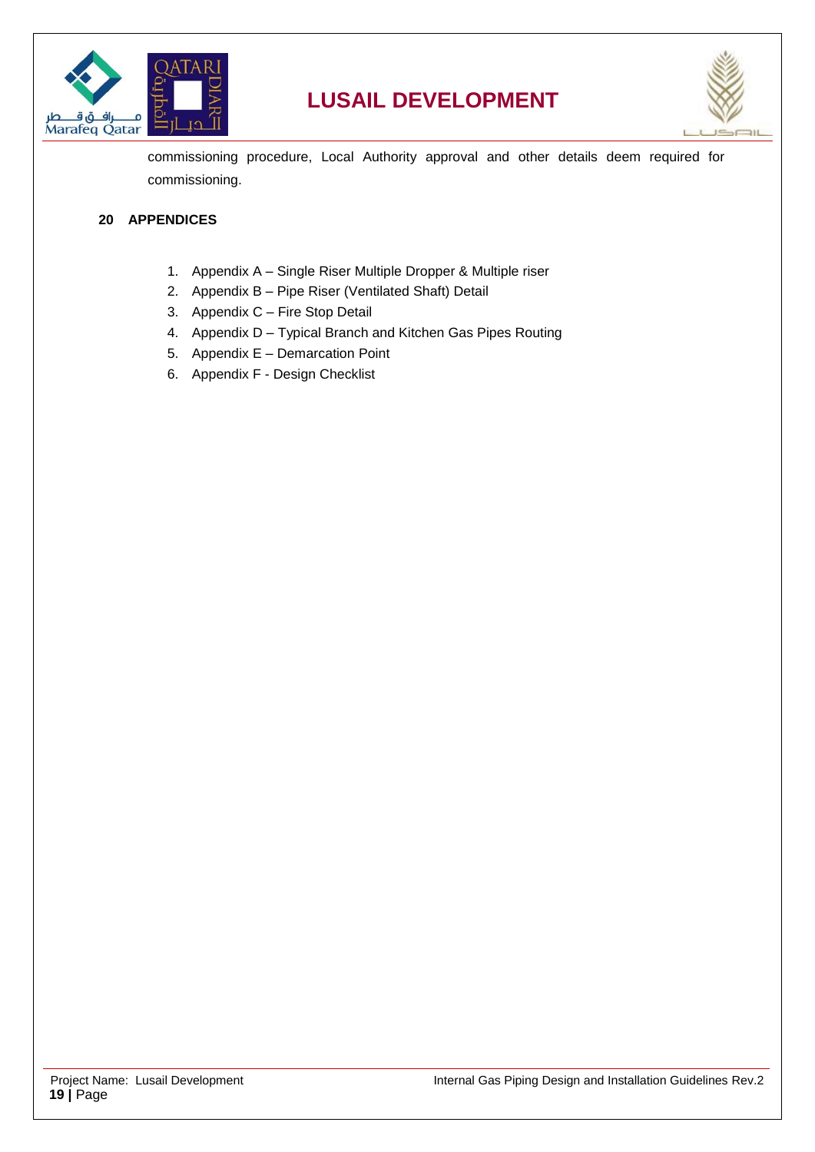



commissioning procedure, Local Authority approval and other details deem required for commissioning.

#### <span id="page-18-0"></span>**20 APPENDICES**

- 1. Appendix A Single Riser Multiple Dropper & Multiple riser
- 2. Appendix B Pipe Riser (Ventilated Shaft) Detail
- 3. Appendix C Fire Stop Detail
- 4. Appendix D Typical Branch and Kitchen Gas Pipes Routing
- 5. Appendix E Demarcation Point
- 6. Appendix F Design Checklist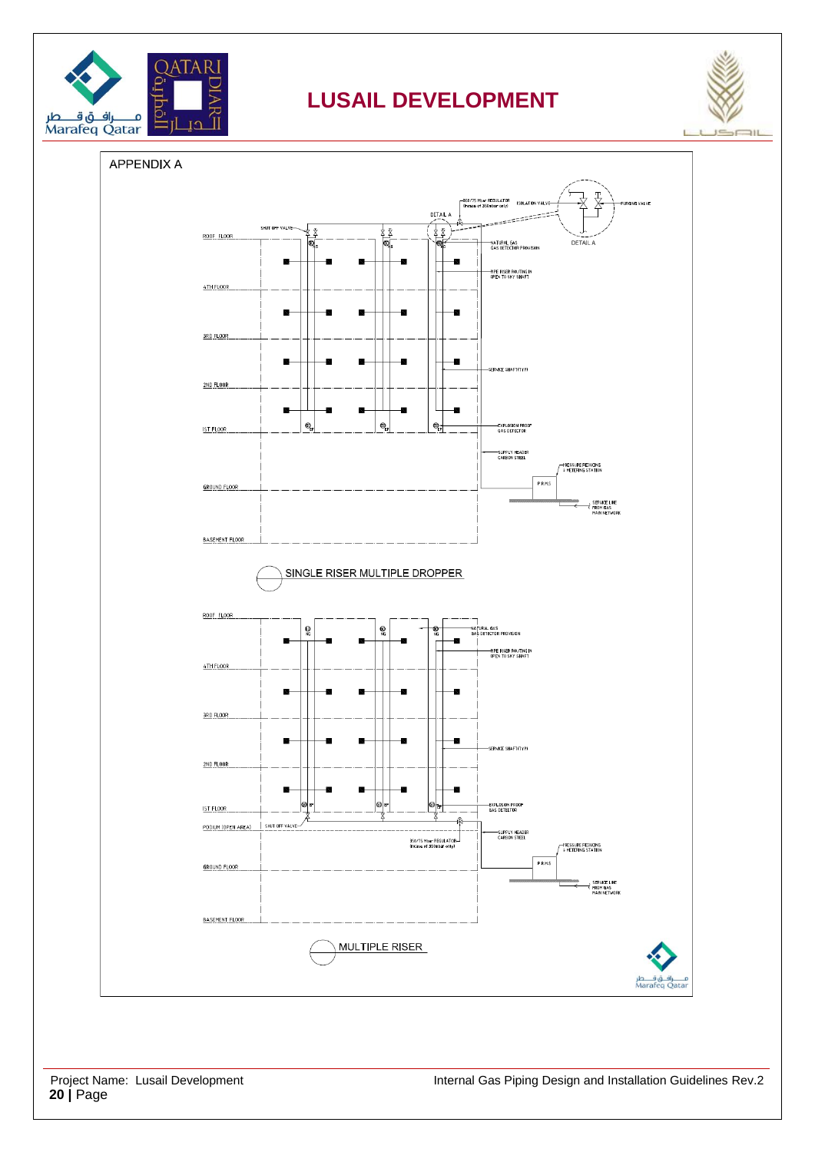



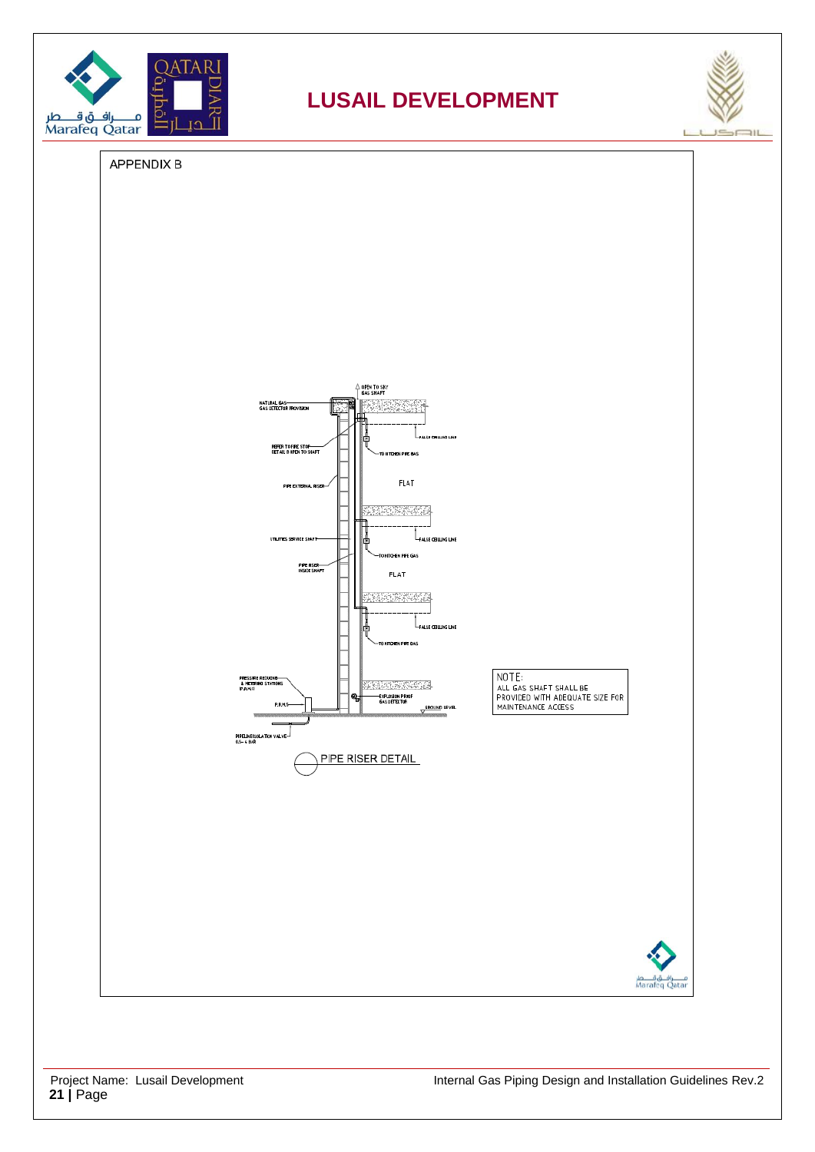



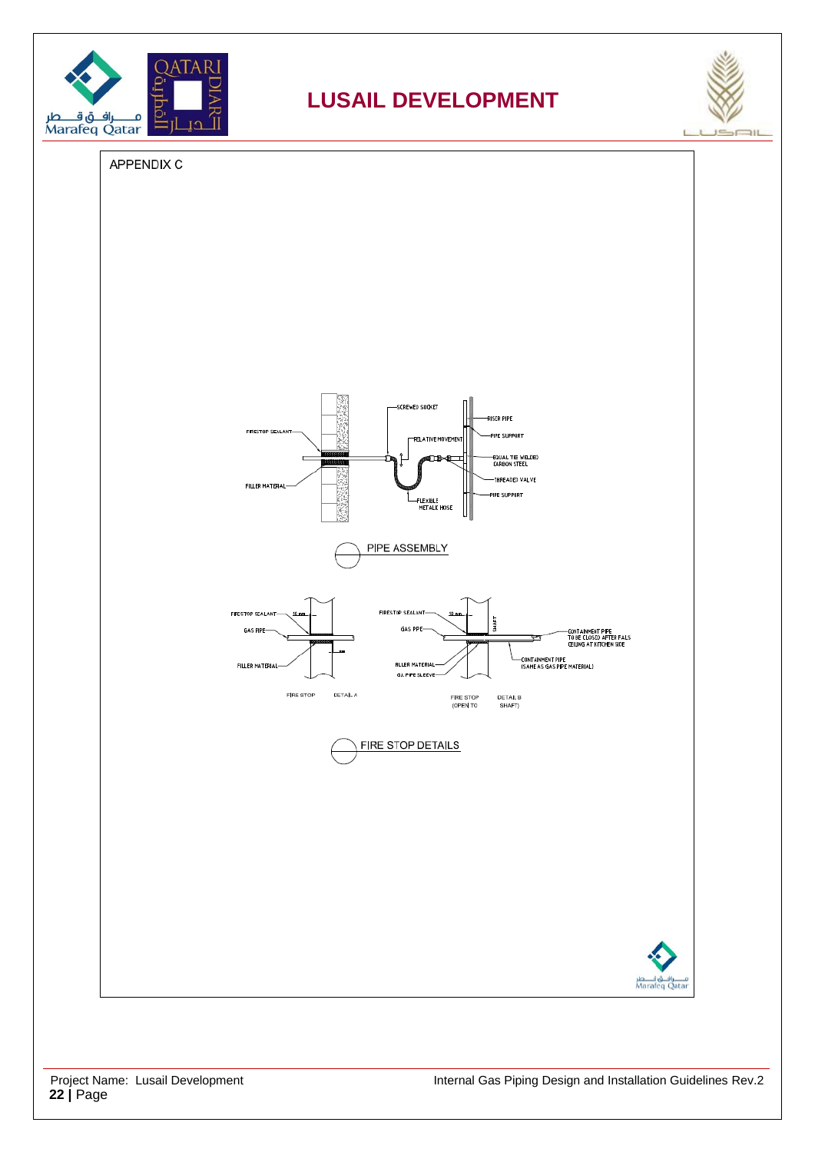



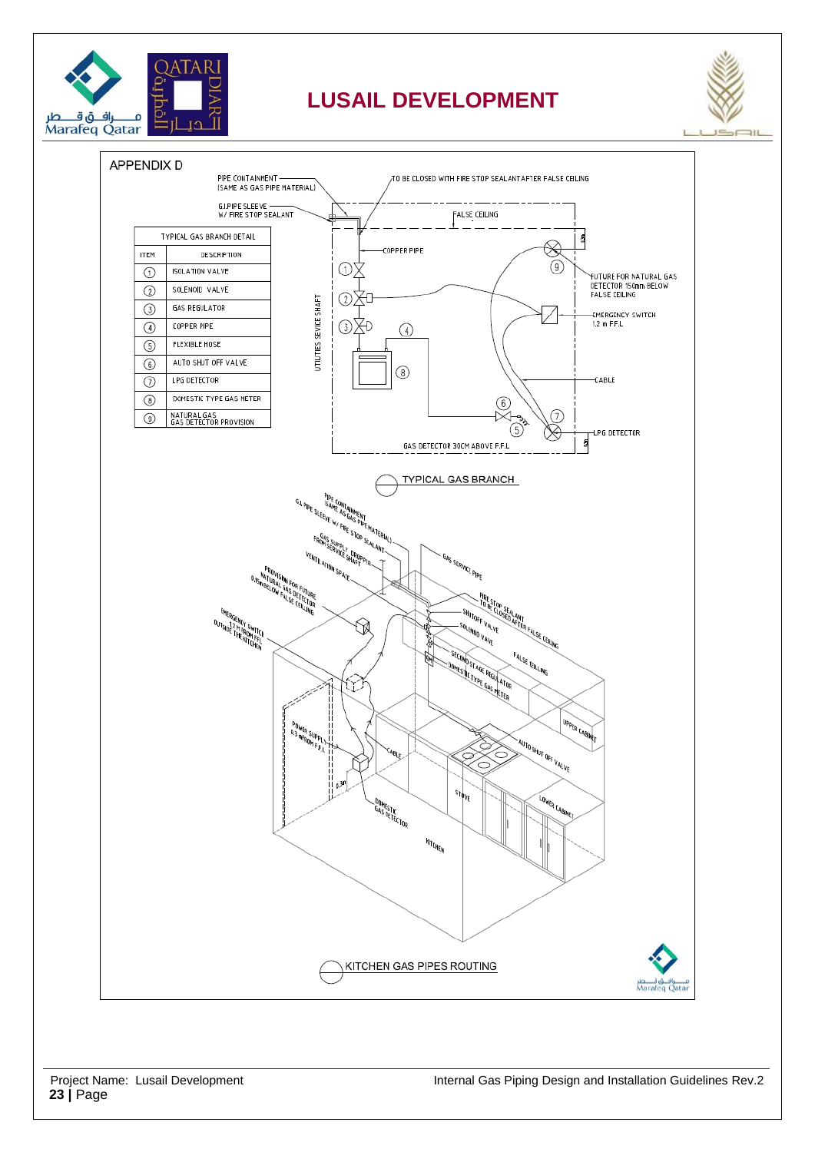



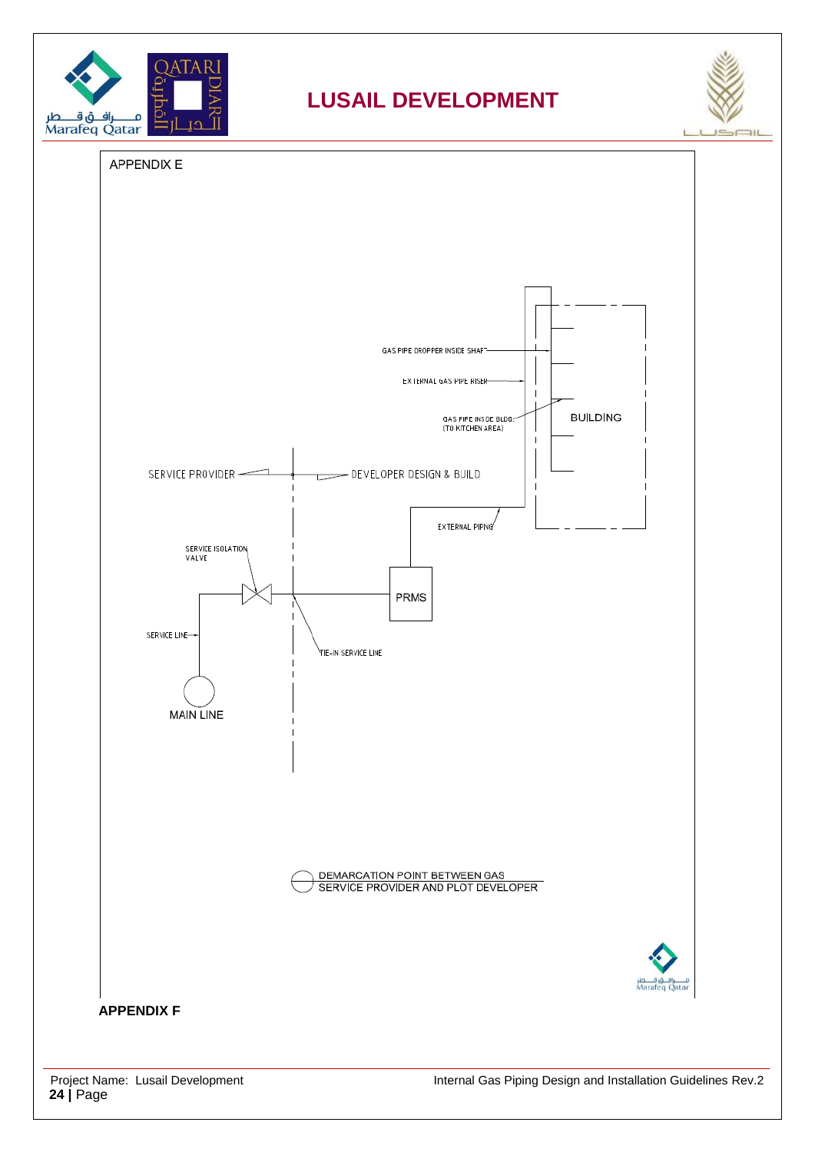



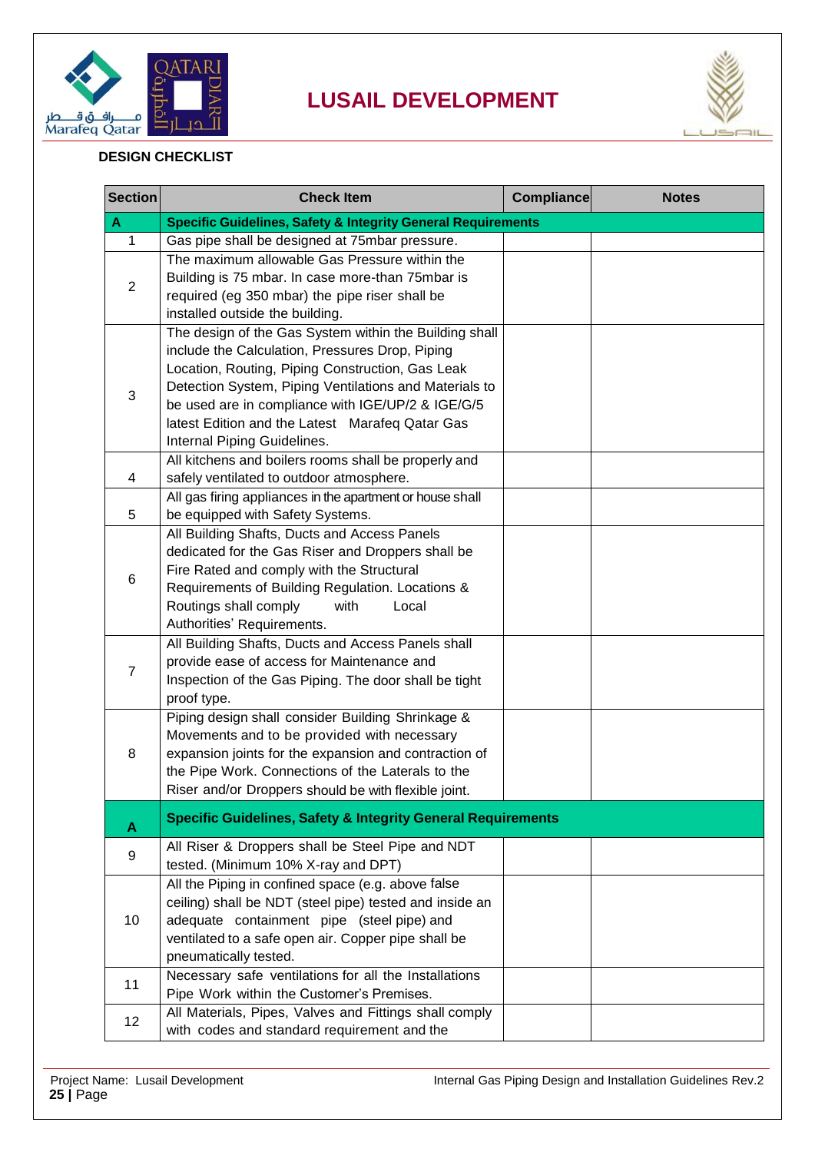



#### **DESIGN CHECKLIST**

| <b>Section</b> | <b>Check Item</b>                                                                                          | <b>Compliance</b> | <b>Notes</b> |  |  |
|----------------|------------------------------------------------------------------------------------------------------------|-------------------|--------------|--|--|
| A              | <b>Specific Guidelines, Safety &amp; Integrity General Requirements</b>                                    |                   |              |  |  |
| 1              | Gas pipe shall be designed at 75mbar pressure.                                                             |                   |              |  |  |
| $\overline{2}$ | The maximum allowable Gas Pressure within the                                                              |                   |              |  |  |
|                | Building is 75 mbar. In case more-than 75mbar is                                                           |                   |              |  |  |
|                | required (eg 350 mbar) the pipe riser shall be                                                             |                   |              |  |  |
|                | installed outside the building.                                                                            |                   |              |  |  |
|                | The design of the Gas System within the Building shall                                                     |                   |              |  |  |
|                | include the Calculation, Pressures Drop, Piping                                                            |                   |              |  |  |
|                | Location, Routing, Piping Construction, Gas Leak                                                           |                   |              |  |  |
| 3              | Detection System, Piping Ventilations and Materials to                                                     |                   |              |  |  |
|                | be used are in compliance with IGE/UP/2 & IGE/G/5                                                          |                   |              |  |  |
|                | latest Edition and the Latest Marafeq Qatar Gas                                                            |                   |              |  |  |
|                | Internal Piping Guidelines.                                                                                |                   |              |  |  |
|                | All kitchens and boilers rooms shall be properly and                                                       |                   |              |  |  |
| 4              | safely ventilated to outdoor atmosphere.                                                                   |                   |              |  |  |
|                | All gas firing appliances in the apartment or house shall                                                  |                   |              |  |  |
| 5              | be equipped with Safety Systems.                                                                           |                   |              |  |  |
|                | All Building Shafts, Ducts and Access Panels                                                               |                   |              |  |  |
|                | dedicated for the Gas Riser and Droppers shall be                                                          |                   |              |  |  |
| 6              | Fire Rated and comply with the Structural                                                                  |                   |              |  |  |
|                | Requirements of Building Regulation. Locations &                                                           |                   |              |  |  |
|                | Routings shall comply<br>with<br>Local                                                                     |                   |              |  |  |
|                | Authorities' Requirements.                                                                                 |                   |              |  |  |
|                | All Building Shafts, Ducts and Access Panels shall                                                         |                   |              |  |  |
| $\overline{7}$ | provide ease of access for Maintenance and                                                                 |                   |              |  |  |
|                | Inspection of the Gas Piping. The door shall be tight                                                      |                   |              |  |  |
|                | proof type.                                                                                                |                   |              |  |  |
|                | Piping design shall consider Building Shrinkage &                                                          |                   |              |  |  |
|                | Movements and to be provided with necessary                                                                |                   |              |  |  |
| 8              | expansion joints for the expansion and contraction of<br>the Pipe Work. Connections of the Laterals to the |                   |              |  |  |
|                | Riser and/or Droppers should be with flexible joint.                                                       |                   |              |  |  |
|                |                                                                                                            |                   |              |  |  |
| А              | <b>Specific Guidelines, Safety &amp; Integrity General Requirements</b>                                    |                   |              |  |  |
|                | All Riser & Droppers shall be Steel Pipe and NDT                                                           |                   |              |  |  |
| 9              | tested. (Minimum 10% X-ray and DPT)                                                                        |                   |              |  |  |
|                | All the Piping in confined space (e.g. above false                                                         |                   |              |  |  |
|                | ceiling) shall be NDT (steel pipe) tested and inside an                                                    |                   |              |  |  |
| 10             | adequate containment pipe (steel pipe) and                                                                 |                   |              |  |  |
|                | ventilated to a safe open air. Copper pipe shall be                                                        |                   |              |  |  |
|                | pneumatically tested.                                                                                      |                   |              |  |  |
|                | Necessary safe ventilations for all the Installations                                                      |                   |              |  |  |
| 11             | Pipe Work within the Customer's Premises.                                                                  |                   |              |  |  |
| 12             | All Materials, Pipes, Valves and Fittings shall comply                                                     |                   |              |  |  |
|                | with codes and standard requirement and the                                                                |                   |              |  |  |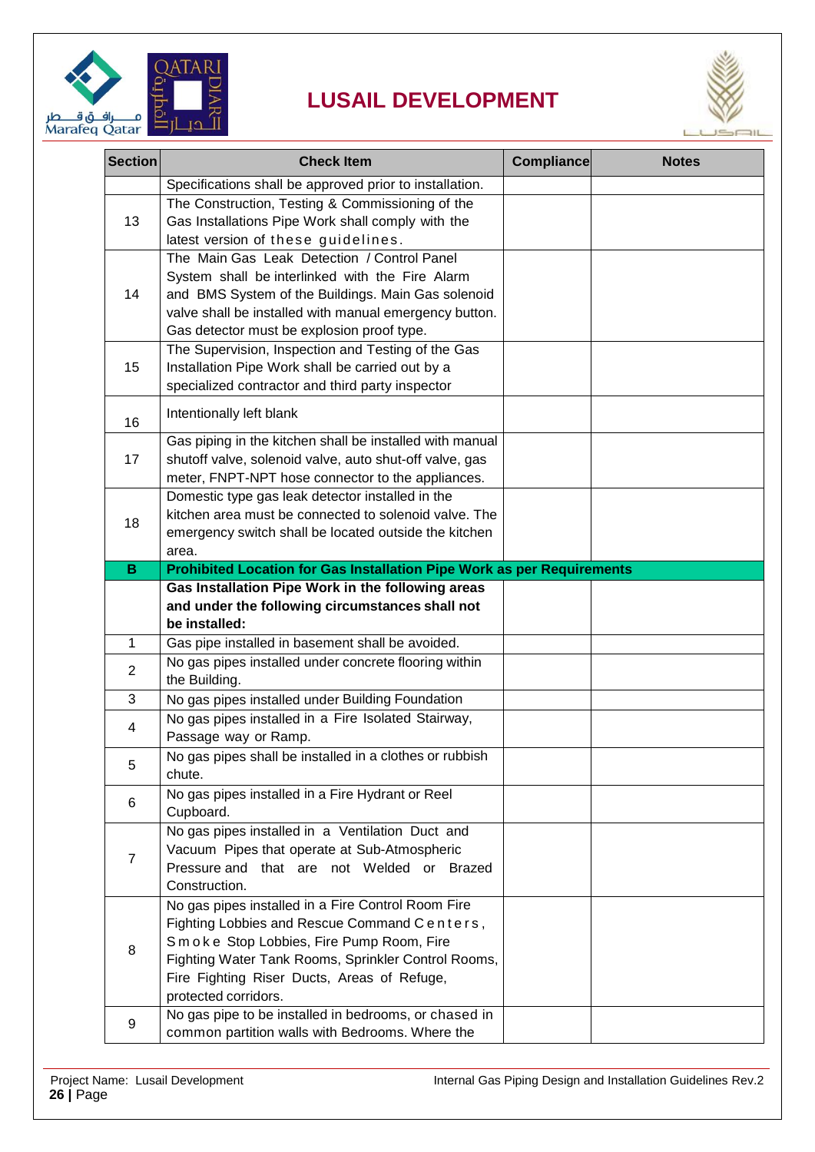



| <b>Section</b> | <b>Check Item</b>                                                                                                                                                                                                                                                            | <b>Compliance</b> | <b>Notes</b> |
|----------------|------------------------------------------------------------------------------------------------------------------------------------------------------------------------------------------------------------------------------------------------------------------------------|-------------------|--------------|
|                | Specifications shall be approved prior to installation.                                                                                                                                                                                                                      |                   |              |
| 13             | The Construction, Testing & Commissioning of the<br>Gas Installations Pipe Work shall comply with the<br>latest version of these guidelines.                                                                                                                                 |                   |              |
| 14             | The Main Gas Leak Detection / Control Panel<br>System shall be interlinked with the Fire Alarm<br>and BMS System of the Buildings. Main Gas solenoid<br>valve shall be installed with manual emergency button.<br>Gas detector must be explosion proof type.                 |                   |              |
| 15             | The Supervision, Inspection and Testing of the Gas<br>Installation Pipe Work shall be carried out by a<br>specialized contractor and third party inspector                                                                                                                   |                   |              |
| 16             | Intentionally left blank                                                                                                                                                                                                                                                     |                   |              |
| 17             | Gas piping in the kitchen shall be installed with manual<br>shutoff valve, solenoid valve, auto shut-off valve, gas<br>meter, FNPT-NPT hose connector to the appliances.                                                                                                     |                   |              |
| 18             | Domestic type gas leak detector installed in the<br>kitchen area must be connected to solenoid valve. The<br>emergency switch shall be located outside the kitchen<br>area.                                                                                                  |                   |              |
| B              | Prohibited Location for Gas Installation Pipe Work as per Requirements                                                                                                                                                                                                       |                   |              |
|                | Gas Installation Pipe Work in the following areas<br>and under the following circumstances shall not<br>be installed:                                                                                                                                                        |                   |              |
| 1              | Gas pipe installed in basement shall be avoided.                                                                                                                                                                                                                             |                   |              |
| $\overline{2}$ | No gas pipes installed under concrete flooring within<br>the Building.                                                                                                                                                                                                       |                   |              |
| 3              | No gas pipes installed under Building Foundation                                                                                                                                                                                                                             |                   |              |
| 4              | No gas pipes installed in a Fire Isolated Stairway,<br>Passage way or Ramp.                                                                                                                                                                                                  |                   |              |
| 5              | No gas pipes shall be installed in a clothes or rubbish<br>chute.                                                                                                                                                                                                            |                   |              |
| 6              | No gas pipes installed in a Fire Hydrant or Reel<br>Cupboard.                                                                                                                                                                                                                |                   |              |
| $\overline{7}$ | No gas pipes installed in a Ventilation Duct and<br>Vacuum Pipes that operate at Sub-Atmospheric<br>Pressure and that are not Welded or Brazed<br>Construction.                                                                                                              |                   |              |
| 8              | No gas pipes installed in a Fire Control Room Fire<br>Fighting Lobbies and Rescue Command Centers,<br>Smoke Stop Lobbies, Fire Pump Room, Fire<br>Fighting Water Tank Rooms, Sprinkler Control Rooms,<br>Fire Fighting Riser Ducts, Areas of Refuge,<br>protected corridors. |                   |              |
| 9              | No gas pipe to be installed in bedrooms, or chased in<br>common partition walls with Bedrooms. Where the                                                                                                                                                                     |                   |              |